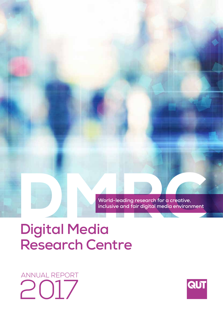World-leading research for a creative,<br>
inclusive and fair digital media environment<br> **Digital Media inclusive and fair digital media environment**

# **Digital Media Research Centre**

ANNUAL REPORT 2017

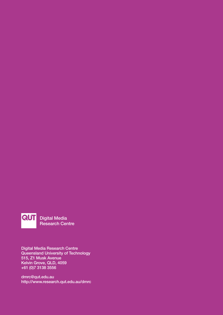

Digital Media Research Centre

Digital Media Research Centre Queensland University of Technology 515, Z1 Musk Avenue Kelvin Grove, QLD, 4059 +61 (0)7 3138 3556

dmrc@qut.edu.au http://www.research.qut.edu.au/dmrc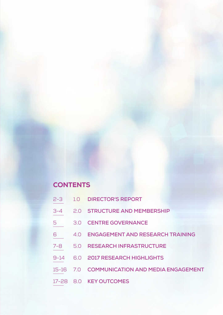# **CONTENTS**

- 2-3 1.0 **DIRECTOR'S REPORT**
- 3-4 2.0 **STRUCTURE AND MEMBERSHIP**
- 5 3.0 **CENTRE GOVERNANCE**
- 6 4.0 **ENGAGEMENT AND RESEARCH TRAINING**
- 7-8 5.0 **RESEARCH INFRASTRUCTURE**
- 9-14 6.0 **2017 RESEARCH HIGHLIGHTS**
- 15-16 7.0 **COMMUNICATION AND MEDIA ENGAGEMENT**
- 17-28 8.0 **KEY OUTCOMES**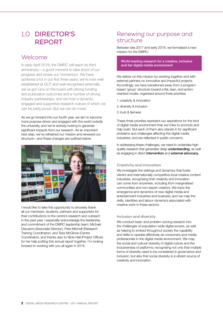# 1.0 **DIRECTOR'S REPORT**

# Welcome

In early April 2018, the DMRC will reach its third anniversary—a good moment to take stock of our progress and renew our momentum. We have achieved a lot in our first three years: we're now wellestablished at QUT and well-recognised externally, we've got runs on the board with strong funding and publication outcomes and a number of strong industry partnerships, and we host a dynamic, engaged and supportive research culture of which we can be justly proud. But we can do more!

As we go forward into our fourth year, we aim to become more purpose-driven and engaged with the world outside the university, and we're actively looking to generate significant impacts from our research. As an important next step, we've refreshed our mission and renewed our structure—and these changes are outlined below.



I would like to take this opportunity to sincerely thank all our members, students, partners and supporters for their contributions to the centre's research and outreach in the past year. I especially acknowledge the leadership and commitment of the DMRC leadership team: Michael Dezuanni (Associate Director), Peta Mitchell (Research Training Coordinator), and Tess McGlone (Centre Coordinator), and thanks also to Nicki Hall (Project Officer) for her help putting this annual report together. I'm looking forward to working with you all again in 2018.

# Renewing our purpose and structure

Between late 2017 and early 2018, we formalised a new mission for the DMRC:

World-leading research for a creative, inclusive and fair digital media environment

We deliver on this mission by working together and with external partners on innovative and impactful projects. Accordingly, we have transitioned away from a programbased 'group' structure toward a flat, lean, and actionoriented model, organised around three priorities:

- 1.creativity & innovation
- 2.diversity & inclusion
- 3.trust & fairness

These three priorities represent our aspirations for the kind of digital media environment that we'd like to promote and help build. But each of them also stands in for significant problems and challenges affecting the digital media industries, and are reflected in public concerns.

In addressing these challenges, we need to undertake highquality research that generates deep understanding, as well as engaging in direct intervention and external advocacy.

### **Creativity and innovation**

We investigate the settings and dynamics that foster vibrant and internationally competitive local creative content industries; recognising that creativity and innovation can come from anywhere, including from marginalised communities and non-expert creators. We trace the emergence and dynamics of new digital media and entertainment industries and business; and we map the skills, identities and labour dynamics associated with creative work in these sectors.

### **Inclusion and diversity**

We conduct basic and problem-solving research into the challenges of population-wide digital access, as well as helping to embed throughout society the capability and skills to operate effectively as consumers and media professionals in the digital media environment. We map the social and cultural diversity of digital culture and the inclusiveness of platforms; recognising not only that multiple forms of diversity need to be considered in governance and inclusion, but also that social diversity is a vibrant source of creativity and innovation.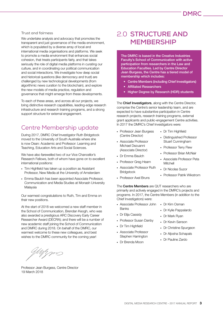### **Trust and fairness**

We undertake analysis and advocacy that promotes the transparent and just governance of the media environment, which is populated by a diverse array of local and international media organisations and platforms. We seek to promote a media environment that enhances social cohesion, that treats participants fairly, and that takes seriously the role of digital media platforms in curating our culture, and in coordinating our political communication and social interactions. We investigate how deep social and historical questions (like democracy and trust) are challenged by new technological developments (from algorithmic news curation to the blockchain), and explore the new models of media practice, regulation and governance that might emerge from these developments.

To each of these areas, and across all our projects, we bring distinctive research capabilities, leading-edge research infrastructure and research training programs, and a strong support structure for external engagement.

# Centre Membership update

During 2017, DMRC Chief Investigator Ruth Bridgstock moved to the University of South Australia where she is now Dean: Academic and Professor: Learning and Teaching, Education Arts and Social Sciences.

We have also farewelled two of our Vice Chancellor's Research Fellows, both of whom have gone on to excellent international positions:

- Tim Highfield has taken up a position as Assistant Professor, New Media at the University of Amsterdam
- Emma Baulch has been appointed Associate Professor, Communication and Media Studies at Monash University Malaysia

Our warmest congratulations to Ruth, Tim and Emma on their new positions.

At the start of 2018 we welcomed a new staff member in the School of Communication, Brendan Keogh, who was also awarded a prestigious ARC Discovery Early Career Researcher Award (DECRA); and there will be a number of new academic staff joining the School of Communication and DMRC during 2018. On behalf of the DMRC, our warmest welcome to these new colleagues, and best wishes to the DMRC community for the coming year!

Jugm

Professor Jean Burgess, Centre Director 19 March 2018

# 2.0 **STRUCTURE AND MEMBERSHIP**

The DMRC is based in the Creative Industries Faculty's School of Communication with active participation from researchers in the Law and Education Faculties. Led by Centre Director Jean Burgess, the Centre has a tiered model of membership which includes:

- Centre Members (including Chief Investigators)
- Affiliated Researchers
- Higher Degree by Research (HDR) students

The Chief Investigators, along with the Centre Director, comprise the Centre's senior leadership team, and are expected to have substantive participation in Centre research projects, research training programs, external grant applicants and public-engagement Centre activities. In 2017 the DMRC's Chief Investigators were:

- Professor Jean Burgess (Centre Director)
- Associate Professor Michael Dezuanni (Associate Director)
- Dr Emma Baulch
- Professor Greg Hearn
- Associate Professor Ruth **Bridgstock**
- Professor Axel Bruns
- Dr Tim Highfield
- Distinguished Professor Stuart Cunningham
- Professor Terry Flew
- Professor Brian McNair
- Associate Professor Peta Mitchell
- Dr Nicolas Suzor
- Professor Patrik Wikstrom

The Centre Members are QUT researchers who are primarily and actively engaged in the DMRC's projects and programs. In 2017, the Centre Members (in addition to the Chief Investigators) were:

- Associate Professor John Banks
- Dr Elija Cassidy
- Professor Susan Danby
- Dr Tim Highfield
- Associate Professor Stephen Harrington
	-
- Dr Brenda Moon
- Dr Kim Osman
- Dr Kylie Pappalardo
- Dr Mark Ryan
- Dr Kevin Sanson
- Dr Christine Spurgeon
- Dr Aliosha Schapals
- Dr Pauline Zardo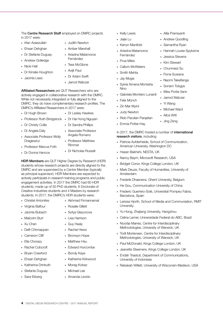### The **Centre Research Staff** employed on DMRC projects in 2017 were:

- Irfan Azeezullah
- Ehsan Dehghan
- Dr Stefanie Duguay
- Andrew Golledge
- Nicki Hall
- Dr Kirralie Houghton
- Jacinta Lisec
- Judith Newton
- Amber Marshall
- Ariadna Matamoros Fernández
- Tess McGlone
- Avijit Paul
- Dr Adam Swift
- Jarrod Walczer

Affiliated Researchers are QUT Researchers who are actively engaged in collaborative research with the DMRC. While not necessarily integrated or fully aligned to the DMRC, they do have complementary research profiles. The DMRC's Affiliated Researchers in 2017 were:

- Dr Hugh Brown • Dr Lesley Hawkes
- Professor Ruth Bridgstock Dr Hai Hong Nguyen
- Dr Christy Collis • Dr Sandra Phillips
- Dr Angela Daly

**Dragiewicz** 

- Associate Professor Angela Romano
- Professor Marcus Foth • Professor Matthew Rimmer
- Dr Donna Hancox

• Associate Professor Molly

• Dr Nicholas Russell

HDR Members are QUT Higher Degree by Research (HDR) students whose research projects are directly aligned to the DMRC and are supervised by a Centre Member (typically as principal supervisor). HDR Members are expected to actively participate in research training programs and public engagement activities. In 2017 the DMRC had 60 HDR students, made up of 50 PhD students, 6 Doctorate of Creative Industries students and 4 Masters by research students. In 2017, the DMRC's HDR students were:

- Christel Antonites
- Virginia Balfour
- Rosalie Gillett

• Akhmad Firmannamal

- Jacinta Bubach • Malcolm Burt
- 
- Xu Chen
- Delfi Chinnappan
- Cameron Cliff
- Ella Chorazy
- Rachel Cobcroft
- Bryan Crawford
- Ehsan Dehghan
- Katherina Drinkuth
- Stefanie Duguay
- Sara Ekberg
- Sofya Glazunova
- Lisa Harrison
- Guy Healy
- Rachel Hews
- Bronwyn Hope
- Matthew Hsu
- Edward Hurcombe
- Bondy Kaye
- Katherine Kirkwood
- Morag Kobez
- Michael Lee
- Amanda Levido
- Kelly Lewis
- Jiajie Lu
- Kerryn Manifold • Ariadna Matamoros
- Fernández
- Prue Miles
- Callum McWaters
- Smith Mehta
- Jay Mogis
- Sylvia Ximena Montaña Nino
- Gabriela Monteiro Lunardi
- Felix Münch
- Zin Mar Myint
- Judy Newton
- Rido Parulian Panjaitan
- Emma Potter-Hay

### In 2017, the DMRC hosted a number of international research visitors, including:

- Patricia Aufderheide, School of Communication, American University, Washington DC
- Hasan Bakhshi, NESTA, UK
- Nancy Baym, Microsoft Research, USA
- Bridget Conor, Kings College London, UK
- Mark Deuze, Faculty of Humanities, University of Amsterdam
- Frederik Dhaenens, Ghent University, Belgium
- He Gou, Communication University of China
- Frederic Guerrero-Solé, Universitat Pompeu Fabra, Barcelona, Spain
- Larissa Hjorth, School of Media and Communiation, RMIT **University**
- Yu Hong, Zhejiang University, Hangzhou
- Celina Lerner, Universidade Federal do ABC, Brazil
- Noortje Marres, Centre for Interdisciplinary Methodologies, University of Warwick, UK
- Torill Mortensen, Centre for Interdisciplinary Methodologies, University of Warwick, UK
- Paul McDonald, Kings College London, UK
- Jeanette Steemers, Kings College London, UK
- Endah Triastuti, Department of Communications, University of Indonesia
- Rebekah Willett, University of Wisconsin-Madison, USA
- Alila Pramiyanti
- Andrew Quodling
- Samantha Ryan
- Hannah Louise Spyksma
- Jessica Stevens
- Kim Stewart
- Chunmeizi Su
- Fiona Suwana
- Naomi Takeifanga
- Sonam Tobgye
- Miss Portia Vann
- Jarrod Walczer
- Yi Wang

• Alice Witt • Jing Zeng

• Michael Ward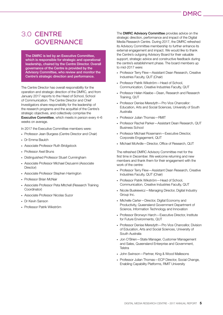# 3.0 **CENTRE GOVERNANCE**

The DMRC is led by an Executive Committee, which is responsible for strategic and operational leadership, chaired by the Centre Director. Overall governance of the Centre is provided by the Advisory Committee, who review and monitor the Centre's strategic direction and performance.

The Centre Director has overall responsibility for the operation and strategic direction of the DMRC, and from January 2017 reports to the Head of School, School of Communication. The Centre Director and Chief Investigators share responsibility for the leadership of the research programs and the acquittal of the Centre's strategic objectives, and collectively comprise the Executive Committee, which meets in person every 4–6 weeks on average.

In 2017 the Executive Committee members were:

- Professor Jean Burgess (Centre Director and Chair)
- Dr Emma Baulch
- Associate Professor Ruth Bridgstock
- Professor Axel Bruns
- Distinguished Professor Stuart Cunningham
- Associate Professor Michael Dezuanni (Associate Director)
- Associate Professor Stephen Harrington
- Professor Brian McNair
- Associate Professor Peta Mitchell (Research Training Coordinator)
- Associate Professor Nicolas Suzor
- Dr Kevin Sanson
- Professor Patrik Wikström

The DMRC Advisory Committee provides advice on the strategic direction, performance and impact of the Digital Media Research Centre. During 2017, the DMRC refreshed its Advisory Committee membership to further enhance its external engagement and impact. We would like to thank the Centre's outgoing Advisory Board for their valuable support, strategic advice and constructive feedback during the centre's establishment phase. The board members up to mid-2017 were:

- Professor Terry Flew—Assistant Dean Research, Creative Industries Faculty, QUT (Chair)
- Professor Patrik Wikström—Head of School, Communication, Creative Industries Faculty, QUT
- Professor Helen Klaebe—Dean, Research and Research Training, QUT
- Professor Denise Meredyth—Pro Vice Chancellor: Education, Arts and Social Sciences, University of South Australia
- Professor Julian Thomas-RMIT
- Professor Rachel Parker—Assistant Dean Research, QUT Business School
- Professor Michael Rosemann—Executive Director, Corporate Engagement, QUT
- Michael McArdle—Director, Office of Research, QUT

The refreshed DMRC Advisory Committee met for the first time in December. We welcome returning and new members and thank them for their engagement with the work of the centre:

- Professor Terry Flew—Assistant Dean Research, Creative Industries Faculty, QUT (Chair)
- Professor Patrik Wikström—Head of School, Communication, Creative Industries Faculty, QUT
- Nicole Buskiewicz—Managing Director, Digital Industry Group Inc.
- Michelle Carter-Director, Digital Economy and Productivity, Queensland Government Department of Science, Information Technology and Innovation
- Professor Bronwyn Harch—Executive Director, Institute for Future Environments, QUT
- Professor Denise Meredyth—Pro Vice Chancellor, Division of Education, Arts and Social Sciences, University of South Australia
- Jon O'Brien—State Manager, Customer Management and Sales, Queensland Enterprise and Government, Telstra
- John Swinson—Partner, King & Wood Mallesons
- Professor Julian Thomas—ECP Director, Social Change, Enabling Capability Platforms, RMIT University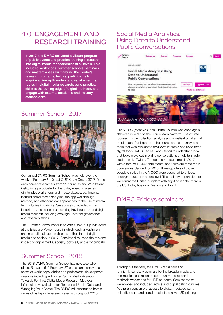# 4.0 **ENGAGEMENT AND RESEARCH TRAINING**

In 2017, the DMRC delivered a vibrant program of public events and practical training in research into digital media for academics at all levels. This included workshops, summer schools, seminars and masterclasses built around the Centre's research programs, helping participants to acquire an in-depth understanding of emerging topics in digital media research, build practical skills at the cutting edge of digital methods, and engage with external academic and industry stakeholders.

# Summer School, 2017



Our annual DMRC Summer School was held over the week of February 6–10th at QUT Kelvin Grove. 37 PhD and early career researchers from 11 countries and 21 different institutions participated in the 5 day event. In a series of intensive workshops and masterclasses, participants learned social media analytics, the app walkthrough method, and ethnographic approaches to the use of media technologies in daily life. Sessions also included more lectorial style discussions, covering key issues around digital media research including copyright, internet governance, and research ethics.

The Summer School concluded with a sold-out public event at the Brisbane Powerhouse in which leading Australian and international experts discussed the state of digital media and society in 2017. Panelists discussed the role and impact of digital media, socially, politically and economically.

# Summer School, 2018

The 2018 DMRC Summer School has now also taken place. Between 5–9 February, 37 participants enjoyed a series of workshops, clinics and professional development sessions including Advanced Social Media Analytics, Towards Feminist Digital Media Research Methods, Information Visualisation for Text-based Social Data, and Wrangling Your Career. The DMRC will continue to host a series of high-profile research events throughout 2018.

# Social Media Analytics: Using Data to Understand Public Conversations



Our MOOC (Massive Open Online Course) was once again delivered in 2017 on the FutureLearn platform. The course focused on the collection, analysis and visualisation of social media data. Participants in the course chose to analyse a topic that was relevant to their own interests and used three digital tools (TAGS, Tableau and Gephi) to understand how that topic plays out in online conversations on digital media platforms like Twitter. The course ran four times in 2017 with a total of 13,442 enrolments, and there are three more course runs planned for 2018. Three-quarters of those people enrolled in the MOOC were educated to at least undergraduate or masters level. The majority of participants were from the United Kingdom with significant cohorts from the US, India, Australia, Mexico and Brazil.

# DMRC Fridays seminars



Throughout the year, the DMRC ran a series of fortnightly scholarly seminars for the broader media and communications research community and research methods workshops for HDR students. Seminar topics were varied and included: ethics and digital dating cultures; Australian consumers' access to digital media content; celebrity death and social media; fake news; 3D printing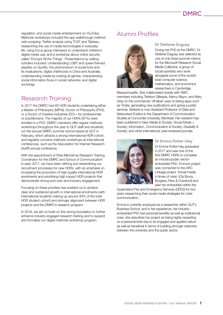regulation; and social media entertainment on YouTube. Methods workshops included the app walkthrough method; web scraping; Twitter analysis using TCAT and Tableau; researching the use of media technologies in everyday life; using focus group interviews to understand children's digital media use; and a workshop about online security called 'Encrypt All the Things'. Presentations by visiting scholars included: Understanding LGBT and queer-themed playlists on Spotify; the phenomenon of social bots and its implications; digital childhoods in China and Australia; understanding media by looking at games; characterising social information flows in social networks; and digital sociology.

# Research Training

In 2017 the DMRC had 60 HDR students undertaking either a Master of Philosophy (MPhil), Doctor of Philosophy (PhD), or a Doctor of Creative Industries (DCI—for professionals or practitioners). The majority of our HDRs (87%) were enrolled in a PhD. DMRC members offer regular methods workshops throughout the year to QUT staff and students; run the annual DMRC summer school based at QUT in February, which attracts a strong international HDR cohort; and regularly convene methods workshops at international conferences, such as the Association for Internet Research (AoIR) annual conference.

With the appointment of Peta Mitchell as Research Training Coordinator for the DMRC and School of Communication in early 2017, we have been refining and streamlining our recruitment processes for new HDRs, with an emphasis on increasing the proportion of high-quality international HDR enrolments and prioritising high impact HDR projects that demonstrate strong end-user and industry engagement.

Focusing on these priorities has enabled us to achieve clear and sustained growth in international enrolments (with international students making up around 40% of the total HDR student cohort) and stronger alignment between HDR projects and the DMRC's research program.

In 2018, we aim to build on this strong foundation to further enhance industry-engaged research training and to expand and formalise our digital methods workshop program.

# Alumni Profiles



**Dr Stefanie Duguay** During her PhD at the DMRC, Dr Stefanie Duguay was selected as one of only three summer interns for the Microsoft Research Social Media Collective, a group of social scentists who work alongside some of the world's best computer science, mathematics, and economics researchers in Cambridge,

Massachusetts. She collaborated closely with SMC members including Tarleton Gillespie, Nancy Baym, and Mary Gray on the commercial 'off-label' uses of dating apps such as Tinder, generating new publications and giving a public seminar. Stefanie is now Assistant Professor of Data and Networked Publics in the Department of Communication Studies at Concordia University, Montreal. Her research has been published in *New Media & Society; Social Media + Society; Information, Communication & Society; Disability & Society;* and other international, peer-reviewed journals.



### **Dr Emma Potter-Hay**

Dr Emma Potter-Hay graduated in 2017 and was one of the first DMRC HDRs to complete an industry/public sectorembedded PhD. Emma's project was connected to the ARC Linkage project 'Social media in times of crisis' (CIs Bruns, Burgess, Flew & Crawford) and saw her embedded within the

Queensland Fire and Emergency Services (QFES) for two years researching their social media strategies for crisis communication.

Emma is currently employed as a researcher within QUT's Business School, and in her experience, her industryembedded PhD had personal benefits as well as institutional ones: she describes her project as being highly rewarding on a personal level due to its engaged and applied nature as well as beneficial in terms of building stronger networks between the university and the public sector.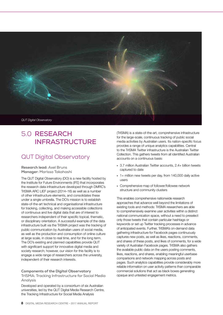

# 5.0 **RESEARCH INFRASTRUCTURE**

# QUT Digital Observatory

Research lead: **Axel Bruns** Manager: **Marissa Takahashi**

The QUT Digital Observatory (DO) is a new facility hosted by the Institute for Future Environments (IFE) that incorporates the research data infrastructure developed through DMRC's TrISMA ARC LIEF project (2014–16) as well as a number of other infrastructure elements, and consolidates these under a single umbrella. The DO's mission is to establish state-of-the-art technical and organisational infrastructure for tracking, collecting, and making accessible collections of continuous and live digital data that are of interest to researchers independent of their specific topical, thematic, or disciplinary orientation. A successful example of the data infrastructure built via the TrISMA project was the tracking of public communication by Australian users of social media, as well as the production and consumption of online culture at large scale, in close to real time, and for the long term. The DO's existing and planned capabilities provide QUT with significant support for innovative digital media and society research; however, our vision for this facility is to engage a wide range of researchers across the university, independent of their research interests.

Components of the Digital Observatory **TrISMA: Tracking Infrastructure for Social Media Analysis** 

Developed and operated by a consortium of six Australian universities, led by the QUT Digital Media Research Centre, the Tracking Infrastructure for Social Media Analysis

(TrISMA) is a state-of-the-art, comprehensive infrastructure for the large-scale, continuous tracking of public social media activities by Australian users. Its nation-specific focus provides a range of unique analytics capabilities. Central to the TrISMA Twitter infrastructure is the Australian Twitter Collection. This gathers tweets from all identified Australian accounts on a continuous basis:

- 3.7 million Australian Twitter accounts, 2.4+ billion tweets captured to date
- 1+ million new tweets per day, from 140,000 daily active users
- Comprehensive map of follower/followee network structure and community clusters

This enables comprehensive nationwide research approaches that advance well beyond the limitations of existing tools and methods: TrISMA researchers are able to comprehensively examine user activities within a distinct national communication space, without a need to preselect only those tweets that contain particular hashtags or keywords or set up Twitter tracking processes in advance of anticipated events. Further, TrISMA's on-demand data gathering infrastructure for Facebook pages continuously captures new posts, as well as likes, reactions, comments, and shares of these posts, and likes of comments, for a wide variety of Australian Facebook pages. TrISMA also gathers the available public data on the users posting comments, likes, reactions, and shares, enabling meaningful userbase comparisons and network mapping across posts and pages. Such analytics capabilities provide considerably more reliable information on user activity patterns than comparable commercial solutions that act as black boxes generating opaque and untested engagement metrics.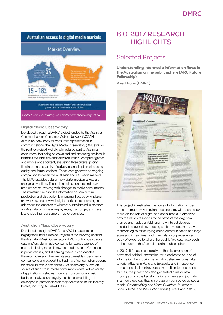# Australian access to digital media markets

### **Market Overview**



### **Digital Media Observatory**

Developed through a DMRC project funded by the Australian Communications Consumer Action Network (ACCAN), Australia's peak body for consumer representation in communications, the Digital Media Observatory (DMO) tracks the relative availability of digital media content to Australian consumers, focussing on download and streaming services. It identifies available film and television, music, computer games, and mobile apps content, evaluating three criteria: pricing, timeliness, and diversity of delivery channel options (including quality and format choices). These data generate an ongoing comparison between the Australian and US media markets. The DMO provides data on how digital media markets are changing over time. These data help us understand how markets are co-evolving with changes to media consumption. The infrastructure provides information on how cultural production and distribution is changing, how copyright laws are working, and how well digital markets are operating, and addresses the question of whether Australians still suffer from an 'Australia tax' where we pay more, wait longer, and have less choice than consumers in other countries.

### **Australian Music Observatory**

Developed through a DMRC-led ARC Linkage project (highlighted under Selected Projects in the following section), the Australian Music Observatory (AMO) continuously tracks data on Australian music consumption across a range of media, including radio airplay, recorded music performance in public venues, and streaming media. It consolidates these complex and diverse datasets to enable cross-media comparisons and support the tracking of consumption careers for individual tracks and artists. AMO is the only Australian source of such cross-media consumption data, with a variety of applications in studies of cultural consumption, music business analysis, and royalty distribution modelling. It is developed in partnership with major Australian music industry bodies, including APRA/AMCOS.

# 6.0 **2017 RESEARCH HIGHLIGHTS**

# Selected Projects

Understanding intermedia information flows in the Australian online public sphere (ARC Future Fellowship)

**Axel Bruns (DMRC)**



This project investigates the flows of information across the contemporary Australian mediasphere, with a particular focus on the role of digital and social media. It observes how the nation responds to the news of the day, how themes and topics unfold, and how interest develop and decline over time. In doing so, it develops innovative methodologies for studying online communication at a large scale and in real time, and marshals an unprecedented body of evidence to take a thoroughly 'big data' approach to the study of the Australian online public sphere.

In 2017, it focused especially on the dissemination of news and political information, with dedicated studies of information flows during recent Australian elections, after terrorist attacks in Paris and Brussels, and in response to major political controversies. In addition to these case studies, the project has also generated a major new monograph on the transformations of news and journalism in a media ecology that is increasingly connected by social media: *Gatewatching and News Curation: Journalism, Social Media, and the Public Sphere* (Peter Lang, 2018),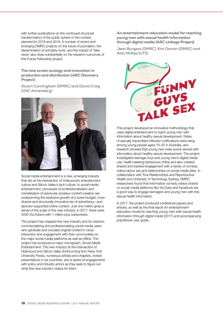with further publications on the continued structural transformation of the public sphere in this context planned for 2018 and 2019. A number of recent and emerging DMRC projects on the future of journalism, the dissemination of scholarly work, and the impact of 'fake news' also draw substantially on the research outcomes of this Future Fellowship project.

The new screen ecology and innovation in production and distribution (ARC Discovery Project)

**Stuart Cunningham (DMRC) and David Craig (USC Annenberg)**



Social media entertainment is a new, emerging industry that sits at the intersection of Hollywood's entertainment culture and Silicon Valley's tech culture. In social media entertainment, processes of professionalisation and monetisation of previously amateur content creation are underpinning the explosive growth of a lower-budget, more diverse and structurally innovative tier of advertising—and sponsor-supported online content. Just one metric gives a sense of the scale of this new industry: in 2017, there were 5000 YouTubers with 1 million plus subscribers.

This project has mapped this new industry and its creators: commercializing and professionalizing social media users who generate and circulate original content in close interaction and engagement with their communities on the major social media platforms as well as offline. The project has produced a major monograph, *Social Media Entertainment: The new industry at the intersection of Hollywood and Silicon Valley* (forthcoming from New York University Press), numerous articles and chapters, invited presentations in six countries, and a series of engagements with policy and industry actors as they seek to figure out what this new industry means for them.

An entertainment-education model for reaching young men with sexual health information through digital media (ARC Linkage Project)

**Jean Burgess (DMRC), Kim Osman (DMRC) and Alan McKee (UTS)**



This project developed an innovative methodology that used digital entertainment to reach young men with information about healthy sexual development. Rates of sexually transmitted infection notifications were rising among young people aged 16–25 in Australia, and research showed that young men were poorly served with information about healthy sexual development. The project investigated teenage boys and young men's digital media use, health-seeking behaviours online and also created, shared and tracked engagement with a series of comedy videos about sex and relationships on social media sites. In collaboration with True Relationships and Reproductive Health and University of Technology Sydney, DMRC researchers found that informative comedy videos shared on social media platforms like YouTube and Facebook are a good way to engage teenagers and young men with this sexual health information.

In 2017, the project produced conference papers and articles, as well as the final report *An entertainmenteducation model for reaching young men with sexual health information through digital media* (2017) and accompanying practitioner user guide.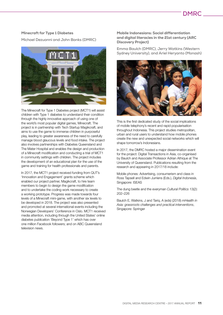# **DMRC**

### Minecraft for Type 1 Diabetes

**Michael Dezuanni and John Banks (DMRC)**



The Minecraft for Type 1 Diabetes project (MCT1) will assist children with Type 1 diabetes to understand their condition through the highly innovative approach of using one of the world's most popular digital games, Minecraft. The project is in partnership with Tech Startup Magikcraft, and aims to use the game to immerse children in purposeful play, leading to greater awareness of the need to carefully manage blood glaucous levels and food intake. The project also involves partnerships with Diabetes Queensland and The Mater Hospital and enables the design and production of a Minecraft modification and conducting a trial of MCT1 in community settings with children. The project includes the development of an educational plan for the use of the game and training for health professionals and parents.

In 2017, the MCT1 project received funding from QUT's 'Innovation and Engagement' grants scheme which enabled our project partner, Magikcraft, to hire team members to begin to design the game modification and to undertake the coding work necessary to create a working prototype. Progress was made towards four levels of a Minecraft mini-game, with another six levels to be developed in 2018. The project was also presented and promoted at several international events including the Norwegian Developers' Conference in Oslo. MCT1 received media attention, including through the United States' online diabetes publication 'Beyond Type 1' which has over one million Facebook followers; and on ABC Queensland television news.

### Mobile Indonesians: Social differentiation and digital literacies in the 21st century (ARC Discovery Project)

**Emma Baulch (DMRC), Jerry Watkins (Western Sydney University), and Ariel Heryanto (Monash)**



This is the first dedicated study of the social implications of mobile telephony's recent and rapid popularisation throughout Indonesia. This project studies metropolitan, urban and rural users to understand how mobile phones create the new and unexpected social networks which will shape tomorrow's Indonesians.

In 2017, the DMRC hosted a major dissemination event for the project: Digital Transactions in Asia, co-organised by Baulch and Associate Professor Adrian Athique at The University of Queensland. Publications resulting from the research and appearing in 2017/18 include:

Mobile phones: Advertising, consumerism and class in Ross Tapsell and Edwin Jurriens (Eds.), *Digital Indonesia*, Singapore: ISEAS

The dung beetle and the everyman *Cultural Politics* 13(2): 202–226

Baulch E, Watkins, J and Tariq, A (eds) (2018) *mHealth in Asia: grassroots challenges and practical interventions*, Singapore: Springer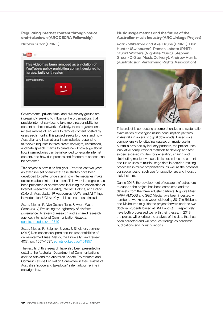Regulating internet content through noticeand-takedown (ARC DECRA Fellowship)

**Nicolas Suzor (DMRC)**



Governments, private firms, and civil society groups are increasingly seeking to influence the organisations that provide internet services to take more responsibility for content on their networks. Globally, these organisations receive millions of requests to remove content posted by users each month. This project seeks to understand how Australian and international intermediaries respond to takedown requests in three areas: copyright, defamation, and hate speech. It aims to create new knowledge about how intermediaries can be influenced to regulate internet content, and how due process and freedom of speech can be protected.

This project is now in its final year. Over the last two years, an extensive set of empirical case studies have been developed to better understand how intermediaries make decisions about internet content. This work in progress has been presented at conferences including the Association of Internet Researchers (Berlin), Internet, Politics, and Policy (Oxford), Australasian IP Academics (UWA), and All Things in Moderation (UCLA). Key publications to date include:

Suzor, Nicolas P., Van Geelen, Tess, & Myers West, Sarah (2017) Evaluating the legitimacy of platform governance: A review of research and a shared research agenda. International Communication Gazette. eprints.qut.edu.au/112749

Suzor, Nicolas P., Seignior, Bryony, & Singleton, Jennifer (2017) Non-consensual porn and the responsibilities of online intermediaries. Melbourne University Law Review, 40(3), pp. 1057–1097. eprints.qut.edu.au/101957

The results of this research have also been presented in detail to the Australian Department of Communications and the Arts and the Australian Senate Environment and Communications Legislation Committee in their reviews of Australia's 'notice and takedown' safe harbour regime in copyright law.

### Music usage metrics and the future of the Australian music industry (ARC Linkage Project)

**Patrik Wikström and Axel Bruns (DMRC), Dan Hunter (Swinburne), Ramon Lobato (RMIT), Stuart Watters (Nightlife Music), Stephen Green (D-Star Music Delivery), Andrew Harris (Australasian Performing Rights Association)**



This project is conducting a comprehensive and systematic examination of changing music consumption patterns in Australia in an era of digital downloads. Based on a comprehensive longitudinal dataset on music use in Australia provided by industry partners, the project uses innovative computational methods to develop and test evidence-based models for generating, sharing and distributing music revenues. It also examines the current and future uses of music usage data in decision-making processes in music organisations, as well as the potential consequences of such use for practitioners and industry stakeholders.

During 2017, the development of research infrastructure to support the project has been completed and the datasets from the three industry partners, Nightlife Music, APRA AMCOS and SGC Media have been ingested. A number of workshops were held during 2017 in Brisbane and Melbourne to guide the project forward and the two doctoral students based at RMIT and QUT respectively have both progressed well with their theses. In 2018 the project will prioritise the analysis of the data that has been collected and will produce findings as academic publications and industry reports.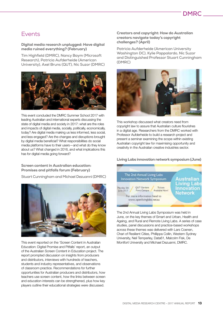# Events

Digital media research unplugged: Have digital media ruined everything? (February)

**Tim Highfield (DMRC), Nancy Baym (Microsoft Research), Patricia Aufderheide (American University), Axel Bruns (QUT), Nic Suzor (DMRC)**



This event concluded the DMRC Summer School 2017 with leading Australian and international experts discussing the state of digital media and society in 2017: what are the roles and impacts of digital media, socially, politically, economically, today? Are digital media making us less informed, less social, and less engaged? Are the changes and disruptions brought by digital media beneficial? What responsibilities do social media platforms have to their users—and what do they know about us? What changed in 2016, and what implications this has for digital media going forward?

### Screen content in Australian education: Promises and pitfalls forum (February)

**Stuart Cunningham and Michael Dezuanni (DMRC)**



This event reported on the 'Screen Content in Australian Education: Digital Promise and Pitfalls' report, an output of the Australian Screen Content in Education project. The report prompted discussion on insights from producers and distributors, interviews with hundreds of teachers, students and industry representatives, and observations of classroom practice. Recommendations for further opportunities for Australian producers and distributors, how teachers use screen content, how the links between screen and education interests can be strengthened, plus how key players outline their educational strategies were discussed.

### Creators and copyright: How do Australian creators navigate today's copyright challenges? (April)

**Patricia Aufderheide (American University Washington DC), Kylie Pappalardo, Nic Suzor and Distinguished Professor Stuart Cunningham (DMRC)**



This workshop discussed what creators need from copyright law to assure that Australian culture flourishes in a digital age. Researchers from the DMRC worked with Professor Aufderheide to build a research project and present a seminar examining the scope within existing Australian copyright law for maximising opportunity and creativity in the Australian creative industries sector.

Living Labs innovation network symposium (June)



The 2nd Annual Living Labs Symposium was held in June, on the key themes of Smart and Urban, Health and Ageing, and Rural and Remote Living Labs. A series of case studies, panel discussions and practice-based workshops across these themes was delivered with Lars Coenen, Chari of Resilient Cities, Phillippa Collin, Western Sydney University, Neil Temperley, Data61, Malcolm Fisk, De Montfort University and Michael Dezuanni, DMRC.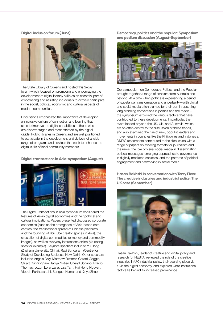### Digital inclusion forum (June)



The State Library of Queensland hosted this 2-day forum which focused on promoting and encouraging the development of digital literacy skills as an essential part of empowering and assisting individuals to actively participate in the social, political, economic and cultural aspects of modern communities.

Discussions emphasized the importance of developing an inclusive culture of connection and learning that aims to improve the digital capabilities of those who are disadvantaged and most affected by the digital divide. Public libraries in Queensland are well positioned to participate in the development and delivery of a wide range of programs and services that seek to enhance the digital skills of local community members.

### Digital transactions in Asia-symposium (August)



The Digital Transactions in Asia symposium considered the features of Asian digital economies and their political and cultural implications. Papers presented discussed corporate economies (such as the emergence of Asia-based data centres, the transnational spread of Chinese platforms, and the founding of YouTube creator spaces in Asia), the circulation of digital commodities (e-money and commodity images), as well as everyday interactions online (via dating sites for example). Keynote speakers included Yu Hong (Zhejiang University, China), Ravi Sundaram (Centre for Study of Developing Societies, New Delhi). Other speakers included Angela Daly, Matthew Rimmer, Gerard Goggin, Stuart Cunningham, Tanya Notley, Cheryll Soriano, Pradip Thomas, Jozon Lorenzana, Lisa Tam, Hai Hong Nguyen, Vibodh Parthasarathi, Sangeet Kumar and Xinyu Zhao.

Democracy, politics and the popular: Symposium and podium discussion (August-September)



Our symposium on Democracy, Politics, and the Popular brought together a range of scholars from Australia and beyond. At a time when politics is experiencing a period of substantial transformation and uncertainty—with digital and social media often blamed for their part in upsetting long-standing conventions in politics and the media the symposium explored the various factors that have contributed to these developments. In particular, the event looked beyond the US, UK, and Australia, which are so often central to the discussion of these trends, and also examined the rise of new, populist leaders and movements in countries like the Philippines and Indonesia. DMRC researchers contributed to the discussion with a range of papers on evolving formats for journalism and the news, the role of visual social media in disseminating political messages, emerging approaches to governance in digitally mediated societies, and the patterns of political engagement and networking in social media.

Hasan Bakhshi in conversation with Terry Flew: The creative industries and industrial policy: The UK case (September)



Hasan Bakhshi, leader of creative and digital policy and research for NESTA, reviewed the role of the creative industries in UK industrial policy, their evolving place visa-vis the digital economy, and explored what institutional factors lie behind its increased prominence.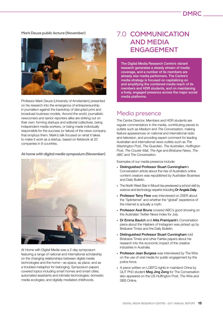### Mark Deuze public lecture (November)



Professor Mark Deuze (University of Amsterdam) presented on his research into the emergence of entrepreneurship in journalism against the backdrop of disrupted print and broadcast business models. Around the world, journalistic newcomers and senior reporters alike are striking out on their own: forming startups and editorial collectives, being independent media workers, or being made individually responsible for the success (or failure) of the news company that employs them. Mark's talk focused on what it takes to make it work as a startup, based on fieldwork at 20 companies in 9 countries.

### At home with digital media symposium (November)



At Home with Digital Media was a 2-day symposium featuring a range of national and international scholarship on the changing relationships between digital media technologies and the home—as space, as place, and as a troubled metaphor for belonging. Symposium papers covered topics including smart homes and smart cities, automated assistants and intimate technologies; domestic media ecologies; and digitally mediated childhoods.

# 7.0 **COMMUNICATION AND MEDIA ENGAGEMENT**

The Digital Media Research Centre's vibrant research generates a steady stream of media coverage, and a number of its members are already star media performers. The Centre's media strategy is focused on capitalizing on and amplifying the combined media reach of its members and HDR students, and on maintaining a lively, engaged presence across the major social media platforms.

## Media presence

The Centre Director, Members and HDR students are regular commentators in the media, contributing pieces to outlets such as *Medium* and *The Conversation*, making feature appearances on national and international radio and television, and providing expert comment for leading Australian and international news outlets such as *The Washington Post, The Guardian, The Australian, Huffington Post, The Courier Mail, The Age* and *Brisbane News, The ABC* and *The Conversation.*

Examples of our media presence include:

- Distinguished Professor Stuart Cunningham's Conversation article about the rise of Australia's online content creators was republished by Australian Business and Daily Bulletin.
- The North West Star in Mount Isa previewed a school visit by science and technology experts including Dr Angela Daly.
- Professor Terry Flew was interviewed on 2SER about the 'Splinternet' and whether the "global" experience of the internet is actually a myth.
- Professor Axel Bruns covered ABC's good showing on the Australian Twitter News Index for July.
- Dr Emma Baulch and Alila Pramivanti's Conversation piece about the Hijabers of Instagram was picked up by Brisbane Times and the Daily Bulletin.
- Distinguished Professor Stuart Cunningham told Brisbane Times and other Fairfax papers about his research into the economic impact of the creative industries in Australia.
- Professor Jean Burgess was interviewed by The Wire on the use of viral media for public engagement by the police force.
- A piece written on LGBTQ rights in mainland China by QUT PhD student Meg Jing Zeng for The Conversation also appeared on the US Huffington Post, The Wire and SBS Online.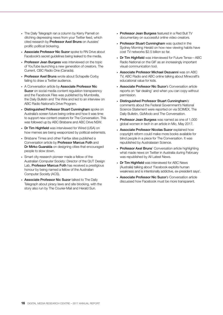- The Daily Telegraph ran a column by Kerry Parnell on ditching depressing news from your Twitter feed, which cited research by Professor Axel Bruns on Aussies' prolific political bickering.
- Associate Professor Nic Suzor spoke to RN Drive about Facebook's secret guidelines being leaked to the media.
- Professor Jean Burgess was interviewed on the topic of YouTube launching a new generation of creators. The Current, CBC Radio One (Canada).
- Professor Axel Bruns wrote about Schapelle Corby failing to draw a Twitter audience.
- A Conversation article by Associate Professor Nic Suzor on social media content regulation transparency and the Facebook Files was published by Mumbrella, the Daily Bulletin and The Wire and led to an interview on ABC Radio National's Drive Program.
- Distinguished Professor Stuart Cunningham spoke on Australia's screen future being online and how it was time to support new content creators for The Conversation. This was followed up by ABC Brisbane and ABC Drive NSW.
- Dr Tim Highfield was interviewed for Wired (USA) on how memes are being weaponized by political extremists.
- Brisbane Times and other Fairfax sites published a Conversation article by Professor Marcus Foth and Dr Mirko Guaralda on designing cities that encouraged people to slow down.
- Smart city research pioneer made a fellow of the Australian Computer Society: Director of the QUT Design Lab, Professor Marcus Foth has received a prestigious honour by being named a fellow of the Australian Computer Society (ACS).
- Associate Professor Nic Suzor talked to The Daily Telegraph about piracy laws and site blocking, with the story also run by The Courier-Mail and Herald Sun.
- Professor Jean Burgess featured in a Red Bull TV documentary on successful online video creators.
- Professor Stuart Cunningham was quoted in the Sydney Morning Herald on how new viewing habits have cost TV networks \$2.5 billion so far.
- Dr Tim Highfield was interviewed for Future Tense—ABC Radio National on the GIF as an increasingly important visual communication tool.
- Associate Professor Michael Dezuanni was on ABC TV, ABC Radio and ABC online talking about Minecraft's educational value for kids.
- Associate Professor Nic Suzor's Conversation article reports on 'fair dealing' and when you can copy without permission.
- Distinguished Professor Stuart Cunningham's comments about the Federal Government's National Science Statement were reported on via SCIMEX, The Daily Bulletin, GizModo and The Conversation.
- Professor Jean Burgess was named as one of 1,000 global women in tech in an article in Mic, May 2017.
- Associate Professor Nicolas Suzor explained how copyright reform could make more books available for blind people in a piece for The Conversation. It was republished by Australasian Science.
- Professor Axel Bruns' Conversation article highlighting what made news on Twitter in Australia during February was republished by All Latest News.
- Dr Tim Highfield was interviewed for ABC News (Australia) talking about 'Facebook exploits human weakness and is intentionally addictive, ex-president says'.
- Associate Professor Nic Suzor's Conversation article discussed how Facebook must be more transparent.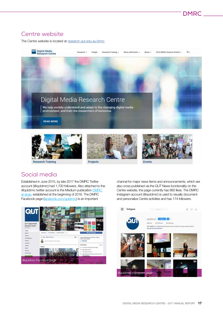# Centre website

The Centre website is located at research.qut.edu.au/dmrc





# Social media

Established in June 2015, by late 2017 the DMRC Twitter account (@qutdmrc) had 1,700 followers. Also attached to the @qutdrmc twitter account is the Medium publication DMRC at large, established at the beginning of 2016. The DMRC Facebook page (facebook.com/qutdmrc) is an important





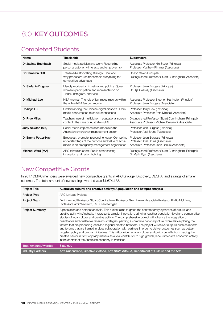# 8.0 **KEY OUTCOMES**

# Completed Students

| <b>Name</b>         | <b>Thesis title</b>                                                                                                                                  | <b>Supervisors</b>                                                                                                   |
|---------------------|------------------------------------------------------------------------------------------------------------------------------------------------------|----------------------------------------------------------------------------------------------------------------------|
| Dr Jacinta Buchbach | Social media policies and work: Reconciling<br>personal autonomy interests and employer risk                                                         | Associate Professor Nic Suzor (Principal)<br>Professor Matthew Rimmer (Associate)                                    |
| Dr Cameron Cliff    | Transmedia storytelling strategy: How and<br>why producers use transmedia storytelling for<br>competitive advantage                                  | Dr Jon Silver (Principal)<br>Distinguished Professor Stuart Cunningham (Associate)                                   |
| Dr Stefanie Duguay  | Identity modulation in networked publics: Queer<br>women's participation and representation on<br>Tinder, Instagram, and Vine                        | Professor Jean Burgess (Principal)<br>Dr Elija Cassidy (Associate)                                                   |
| Dr Michael Lee      | NBA memes: The role of fan image macros within<br>the online NBA fan community                                                                       | Associate Professor Stephen Harrington (Principal)<br>Professor Jean Burgess (Associate)                             |
| Dr Jiajie Lu        | Understanding the Chinese digital diaspora: From<br>media consumption to social connections                                                          | Professor Terry Flew (Principal)<br>Associate Professor Peta Mitchell (Associate)                                    |
| Dr Prue Miles       | Teachers' use of multiplatform educational screen<br>content: The case of Australia's SBS                                                            | Distinguished Professor Stuart Cunningham (Principal)<br>Associate Professor Michael Dezuanni (Associate)            |
| Judy Newton (MA)    | Social media implementation models in the<br>Australian emergency management sector                                                                  | ProfessorJean Burgess (Principal)<br>Professor Axel Bruns (Associate)                                                |
| Dr Emma Potter-Hay  | Broadcast, promote, respond, engage: Competing<br>understandings of the purpose and value of social<br>media in an emergency management organisation | Professor Jean Burgess (Principal)<br>Professor Axel Bruns (Associate)<br>Associate Professor John Banks (Associate) |
| Michael Ward (MA)   | ABC television sport: Public broadcasting,<br>innovation and nation building                                                                         | Distinguished Professor Stuart Cunningham (Principal)<br>Dr Mark Ryan (Associate)                                    |

# New Competitive Grants

In 2017 DMRC members were awarded new competitive grants in ARC Linkage, Discovery, DECRA, and a range of smaller schemes. The total amount of new funding awarded was \$1,674,138.

| <b>Project Title</b>        | Australian cultural and creative activity: A population and hotspot analysis                                                                                                                                                                                                                                                                                                                                                                                                                                                                                                                                                                                                                                                                                                                                                                                                                                                                                                                                  |
|-----------------------------|---------------------------------------------------------------------------------------------------------------------------------------------------------------------------------------------------------------------------------------------------------------------------------------------------------------------------------------------------------------------------------------------------------------------------------------------------------------------------------------------------------------------------------------------------------------------------------------------------------------------------------------------------------------------------------------------------------------------------------------------------------------------------------------------------------------------------------------------------------------------------------------------------------------------------------------------------------------------------------------------------------------|
| <b>Project Type</b>         | <b>ARC Linkage Projects</b>                                                                                                                                                                                                                                                                                                                                                                                                                                                                                                                                                                                                                                                                                                                                                                                                                                                                                                                                                                                   |
| <b>Project Team</b>         | Distinguished Professor Stuart Cunningham, Professor Greg Hearn, Associate Professor Phillip McIntyre,<br>Professor Patrik Wikstrom, Dr Susan Kerrigan                                                                                                                                                                                                                                                                                                                                                                                                                                                                                                                                                                                                                                                                                                                                                                                                                                                        |
| <b>Project Summary</b>      | A population and hotspot analysis. This project aims to grasp the contemporary dynamics of cultural and<br>creative activity in Australia. It represents a major innovation, bringing together population-level and comparative<br>studies of local cultural and creative activity. The comprehensive project will advance the integration of<br>quantitative and qualitative research strategies, painting a complete national picture, while also exploring the<br>factors that are producing local and regional creative hotspots. The project will deliver outputs such as reports<br>and forums that are framed in close collaboration with partners in order to deliver outcomes such as better-<br>targeted policy and program initiatives. This will provide national cultural and policy benefits from placing the<br>creative sector in front of policy makers as a vital contributor to high growth, labour-intensive economic activity<br>in the context of the Australian economy in transition. |
| <b>Total Amount Awarded</b> | \$480,000                                                                                                                                                                                                                                                                                                                                                                                                                                                                                                                                                                                                                                                                                                                                                                                                                                                                                                                                                                                                     |
| <b>Industry Partners</b>    | Arts Queensland, Creative Victoria, Arts NSW, Arts SA, Department of Culture and the Arts                                                                                                                                                                                                                                                                                                                                                                                                                                                                                                                                                                                                                                                                                                                                                                                                                                                                                                                     |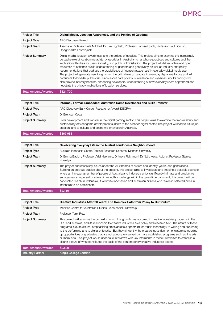| <b>Project Title</b>        | Digital Media, Location Awareness, and the Politics of Geodata                                                                                                                                                                                                                                                                                                                                                                                                                                                                                                                                                                                                                                                                                                                                                                                                                                                                                                         |
|-----------------------------|------------------------------------------------------------------------------------------------------------------------------------------------------------------------------------------------------------------------------------------------------------------------------------------------------------------------------------------------------------------------------------------------------------------------------------------------------------------------------------------------------------------------------------------------------------------------------------------------------------------------------------------------------------------------------------------------------------------------------------------------------------------------------------------------------------------------------------------------------------------------------------------------------------------------------------------------------------------------|
| <b>Project Type</b>         | <b>ARC Discovery Project</b>                                                                                                                                                                                                                                                                                                                                                                                                                                                                                                                                                                                                                                                                                                                                                                                                                                                                                                                                           |
| <b>Project Team</b>         | Associate Professor Peta Mitchell, Dr Tim Highfield, Professor Larissa Hjorth, Professor Paul Dourish,<br>Dr Agnieszka Leszczynski                                                                                                                                                                                                                                                                                                                                                                                                                                                                                                                                                                                                                                                                                                                                                                                                                                     |
| <b>Project Summary</b>      | Digital media, location awareness, and the politics of geodata. This project aims to examine the increasingly<br>pervasive role of location metadata, or geodata, in Australian smartphone practices and cultures and the<br>implications this has for users, industry, and public administration. The project will deliver online and open<br>resources to enhance public understanding of geodata and geoprivacy, as well as industry and policy<br>recommendations that address the crucial issue of 'location awareness' in everyday digital media use.<br>The project will generate new insights into the critical role of geodata in everyday digital media use and will<br>contribute to broader public discussion about data privacy, surveillance and cybersecurity. Its findings will<br>also provide industry benefits, enhancing developers' understanding of how everyday users apprehend and<br>negotiate the privacy implications of location services. |
| <b>Total Amount Awarded</b> | \$324,700                                                                                                                                                                                                                                                                                                                                                                                                                                                                                                                                                                                                                                                                                                                                                                                                                                                                                                                                                              |
|                             |                                                                                                                                                                                                                                                                                                                                                                                                                                                                                                                                                                                                                                                                                                                                                                                                                                                                                                                                                                        |
| <b>Project Title</b>        | Informal, Formal, Embedded: Australian Game Developers and Skills Transfer                                                                                                                                                                                                                                                                                                                                                                                                                                                                                                                                                                                                                                                                                                                                                                                                                                                                                             |

| Total Amount Awarded   | \$367,983                                                                                                                                                                                                                                                                                                     |
|------------------------|---------------------------------------------------------------------------------------------------------------------------------------------------------------------------------------------------------------------------------------------------------------------------------------------------------------|
| <b>Project Summary</b> | Skills development and transfer in the digital gaming sector. This project aims to examine the transferability and<br>sustainability of videogame development skillsets to the broader digital sector. The project will lead to future job<br>creation, and to cultural and economic innovation in Australia. |
| <b>Project Team</b>    | Dr Brendan Keogh                                                                                                                                                                                                                                                                                              |
| <b>Project Type</b>    | ARC Discovery Early Career Researcher Award (DECRA)                                                                                                                                                                                                                                                           |
| .                      |                                                                                                                                                                                                                                                                                                               |

| <b>Project Title</b>        | Celebrating Everyday Life in the Australia-Indonesia Neighbourhood                                                                                                                                                                                                                                                                                                                                                                                                                                                                                                                                                |
|-----------------------------|-------------------------------------------------------------------------------------------------------------------------------------------------------------------------------------------------------------------------------------------------------------------------------------------------------------------------------------------------------------------------------------------------------------------------------------------------------------------------------------------------------------------------------------------------------------------------------------------------------------------|
| <b>Project Type</b>         | Australia Indonesia Centre Tactical Research Scheme, Monash University                                                                                                                                                                                                                                                                                                                                                                                                                                                                                                                                            |
| <b>Project Team</b>         | Dr Emma Baulch, Professor Ariel Heryanto, Dr Inaya Rakhmani, Dr Najib Azca, Adjunct Professor Stanley<br>Prasetyo                                                                                                                                                                                                                                                                                                                                                                                                                                                                                                 |
| <b>Project Summary</b>      | The project addresses key issues under the AIC themes of culture and identity, youth, and generations.<br>Building on previous studies about the present, this project aims to investigate and imagine a possible scenario<br>where an increasing number of people of Australia and Indonesia enjoy significantly intimate and productive<br>engagements. In pursuit of a fresh in - depth knowledge within the given time constraint, this project will be<br>conducted mainly in Indonesia. It will invite Indonesian and Australian citizens who reside in selected cities in<br>Indonesia to be participants. |
| <b>Total Amount Awarded</b> | \$2.110                                                                                                                                                                                                                                                                                                                                                                                                                                                                                                                                                                                                           |

| <b>Project Title</b>        | Creative Industries After 20 Years: The Complex Path from Policy to Curriculum                                                                                                                                                                                                                                                                                                                                                                                                                                                                                                                                                                                                                                                                                                                                     |
|-----------------------------|--------------------------------------------------------------------------------------------------------------------------------------------------------------------------------------------------------------------------------------------------------------------------------------------------------------------------------------------------------------------------------------------------------------------------------------------------------------------------------------------------------------------------------------------------------------------------------------------------------------------------------------------------------------------------------------------------------------------------------------------------------------------------------------------------------------------|
| <b>Project Type</b>         | Menzies Centre for Australian Studies Bicentennial Fellowship                                                                                                                                                                                                                                                                                                                                                                                                                                                                                                                                                                                                                                                                                                                                                      |
| <b>Project Team</b>         | Professor Terry Flew                                                                                                                                                                                                                                                                                                                                                                                                                                                                                                                                                                                                                                                                                                                                                                                               |
| <b>Project Summary</b>      | This project will examine the context in which this growth has occurred in creative industries programs in the<br>U.K. and Australia, and its relationship to creative industries as a policy and research field. The nature of these<br>programs is quite diffuse, emphasizing areas across a spectrum for music technology to writing and publishing<br>to the performing arts to digital enterprise. But they all identify the creative industries nomenclature as opening<br>up opportunities or graduates that are not adequately served by more established programs such as fine arts<br>or liberal arts. This project would undertake interviews with key informants in these universities to establish a<br>clearer picture of what constitutes the basis of the contemporary creative industries degree. |
| <b>Total Amount Awarded</b> | \$2,500                                                                                                                                                                                                                                                                                                                                                                                                                                                                                                                                                                                                                                                                                                                                                                                                            |
| <b>Industry Partner</b>     | King's College London                                                                                                                                                                                                                                                                                                                                                                                                                                                                                                                                                                                                                                                                                                                                                                                              |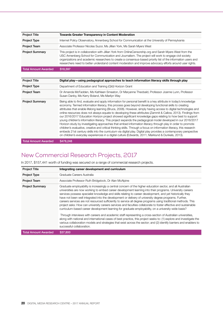| <b>Project Title</b>        | Towards Greater Transparency in Content Moderation                                                                                                                                                                                                                                                                                                                                                                                               |
|-----------------------------|--------------------------------------------------------------------------------------------------------------------------------------------------------------------------------------------------------------------------------------------------------------------------------------------------------------------------------------------------------------------------------------------------------------------------------------------------|
| Project Type                | Internet Policy Observatory, Annenberg School for Communication at the University of Pennsylvania                                                                                                                                                                                                                                                                                                                                                |
| <b>Project Team</b>         | Associate Professor Nicolas Suzor, Ms Jillian York, Ms Sarah Myers West                                                                                                                                                                                                                                                                                                                                                                          |
| <b>Project Summary</b>      | This project is in collaboration with Jillian York from OnlineCensorship.org and Sarah Myers West from the<br>USC Annenberg School for Communication and Journalism. The project will work to engage civil society<br>organizations and academic researchers to create a consensus-based priority list of the information users and<br>researchers need to better understand content moderation and improve advocacy efforts around user rights. |
| <b>Total Amount Awarded</b> | \$18,597                                                                                                                                                                                                                                                                                                                                                                                                                                         |

| <b>Project Title</b>        | Digital play—using pedagogical approaches to teach information literacy skills through play                                                                                                                                                                                                                                                                                                                                                                                                                                                                                                                                                                                                                                                                                                                                                                                                                                                                                                                                                                                                                                                                    |
|-----------------------------|----------------------------------------------------------------------------------------------------------------------------------------------------------------------------------------------------------------------------------------------------------------------------------------------------------------------------------------------------------------------------------------------------------------------------------------------------------------------------------------------------------------------------------------------------------------------------------------------------------------------------------------------------------------------------------------------------------------------------------------------------------------------------------------------------------------------------------------------------------------------------------------------------------------------------------------------------------------------------------------------------------------------------------------------------------------------------------------------------------------------------------------------------------------|
| Project Type                | Department of Education and Training (QId) Horizon Grant                                                                                                                                                                                                                                                                                                                                                                                                                                                                                                                                                                                                                                                                                                                                                                                                                                                                                                                                                                                                                                                                                                       |
| <b>Project Team</b>         | Dr Amanda McFadden, Ms Kathleen Smeaton, Dr Maryanne Theobald, Professor Joanne Lunn, Professor<br>Susan Danby, Ms Kerry Boland, Ms Marilyn Way                                                                                                                                                                                                                                                                                                                                                                                                                                                                                                                                                                                                                                                                                                                                                                                                                                                                                                                                                                                                                |
| <b>Project Summary</b>      | Being able to find, evaluate and apply information for personal benefit is a key attribute in today's knowledge<br>economy. Termed information literacy, this process goes beyond developing functional skills to creating<br>attributes that enable lifelong learning (Bruce, 2008). However, simply having access to digital technologies and<br>online resources does not always equate to developing these attributes (Zammit & Callow, 2013). Findings from<br>our 2016/2017 Education Horizon project showed significant knowledge gaps relating to how best to support<br>young children's information literacy. This project expands the pedagogical model developed in our 2016/2017<br>Horizon study by investigating approaches that embed information literacy through play in order to promote<br>children's evaluative, creative and critical thinking skills. Through a focus on information literacy, this research<br>embeds 21st century skills into the curriculum via digital play. Digital play provides a contemporary perspective<br>on children's everyday experiences in a digital culture (Edwards, 2011; Marklund & Dunkels, 2013). |
| <b>Total Amount Awarded</b> | \$478,248                                                                                                                                                                                                                                                                                                                                                                                                                                                                                                                                                                                                                                                                                                                                                                                                                                                                                                                                                                                                                                                                                                                                                      |

# New Commercial Research Projects, 2017

In 2017, \$157,441 worth of funding was secured on a range of commercial research projects.

| <b>Project Title</b>        | Integrating career development and curriculum                                                                                                                                                                                                                                                                                                                                                                                                                                                                                                                                                                                                                                                                                                                                                                                                                                                                                                                                                                                                                                                                                                                                            |
|-----------------------------|------------------------------------------------------------------------------------------------------------------------------------------------------------------------------------------------------------------------------------------------------------------------------------------------------------------------------------------------------------------------------------------------------------------------------------------------------------------------------------------------------------------------------------------------------------------------------------------------------------------------------------------------------------------------------------------------------------------------------------------------------------------------------------------------------------------------------------------------------------------------------------------------------------------------------------------------------------------------------------------------------------------------------------------------------------------------------------------------------------------------------------------------------------------------------------------|
| <b>Project Type</b>         | Graduate Careers Australia                                                                                                                                                                                                                                                                                                                                                                                                                                                                                                                                                                                                                                                                                                                                                                                                                                                                                                                                                                                                                                                                                                                                                               |
| <b>Project Team</b>         | Associate Professor Ruth Bridgstock, Dr Alan McAlpine                                                                                                                                                                                                                                                                                                                                                                                                                                                                                                                                                                                                                                                                                                                                                                                                                                                                                                                                                                                                                                                                                                                                    |
| <b>Project Summary</b>      | Graduate employability is increasingly a central concern of the higher education sector, and all Australian<br>universities are now working to embed career development learning into their programs. University careers<br>services possess specialist knowledge and skills relating to career development, and yet historically they<br>have not been well integrated into the development or delivery of university degree programs. Further,<br>careers services are not resourced sufficiently to service all degree programs using traditional methods. This<br>project asks: How can university careers services and faculties collaborate to foster effective and sustainable<br>curriculum-based career development learning for graduate employability, on a university-wide basis?<br>Through interviews with careers and academic staff representing a cross-section of Australian universities,<br>along with national and international cases of best practice, this project seeks to: (1) explore and investigate the<br>various collaboration models and strategies that exist across the sector; and (2) identify barriers and enablers to<br>successful collaboration. |
| <b>Total Amount Awarded</b> | \$37,800                                                                                                                                                                                                                                                                                                                                                                                                                                                                                                                                                                                                                                                                                                                                                                                                                                                                                                                                                                                                                                                                                                                                                                                 |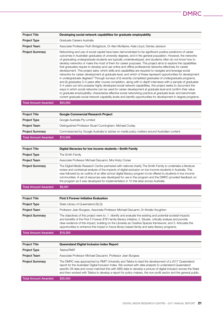| <b>Project Title</b>        | Developing social network capabilities for graduate employability                                                                                                                                                                                                                                                                                                                                                                                                                                                                                                                                                                                                                                                                                                                                                                                                                                                                                                                                                                                                                                                                                                                                                                                                                                                                                                                                                                                                                                   |
|-----------------------------|-----------------------------------------------------------------------------------------------------------------------------------------------------------------------------------------------------------------------------------------------------------------------------------------------------------------------------------------------------------------------------------------------------------------------------------------------------------------------------------------------------------------------------------------------------------------------------------------------------------------------------------------------------------------------------------------------------------------------------------------------------------------------------------------------------------------------------------------------------------------------------------------------------------------------------------------------------------------------------------------------------------------------------------------------------------------------------------------------------------------------------------------------------------------------------------------------------------------------------------------------------------------------------------------------------------------------------------------------------------------------------------------------------------------------------------------------------------------------------------------------------|
| <b>Project Type</b>         | Graduate Careers Australia                                                                                                                                                                                                                                                                                                                                                                                                                                                                                                                                                                                                                                                                                                                                                                                                                                                                                                                                                                                                                                                                                                                                                                                                                                                                                                                                                                                                                                                                          |
| <b>Project Team</b>         | Associate Professor Ruth Bridgstock, Dr Alan McAlpine, Kate Lloyd, Denise Jackson                                                                                                                                                                                                                                                                                                                                                                                                                                                                                                                                                                                                                                                                                                                                                                                                                                                                                                                                                                                                                                                                                                                                                                                                                                                                                                                                                                                                                   |
| <b>Project Summary</b>      | Networking and use of social capital have been demonstrated to be significant positive predictors of career<br>outcomes in Australian graduates of university degrees, and in the general population. However, the networks<br>of graduating undergraduate students are typically underdeveloped, and students often do not know how to<br>develop networks or make the most of them for career purposes. This project aims to explore the capabilities<br>that graduates require to develop and use online and offline professional networks effectively for career<br>development. This project asks: which skills and capabilities are required to navigate and leverage social<br>networks for career development at graduate level, and which of these represent opportunities for development<br>in undergraduate degrees? Through surveys of (i) recently completed graduates of undergraduate programs,<br>and (ii) graduates 3–4 years after course completion, along with in-depth interviews with a sample of graduates<br>3–4 years out who possess highly developed social network capabilities, this project seeks to document the<br>ways in which social networks can be used for career development at graduate level and confirm their value<br>to graduate employability; characterise effective social networking practice at graduate level; and benchmark<br>current graduate social network capability levels and identify opportunities for development in degree programs. |
| <b>Total Amount Awarded</b> | \$54,000                                                                                                                                                                                                                                                                                                                                                                                                                                                                                                                                                                                                                                                                                                                                                                                                                                                                                                                                                                                                                                                                                                                                                                                                                                                                                                                                                                                                                                                                                            |

| <b>Project Title</b>        | <b>Google Commercial Research Project</b>                                                                                                                                                                                                                                                                                                                                                                                                                                                                                                          |
|-----------------------------|----------------------------------------------------------------------------------------------------------------------------------------------------------------------------------------------------------------------------------------------------------------------------------------------------------------------------------------------------------------------------------------------------------------------------------------------------------------------------------------------------------------------------------------------------|
| <b>Project Type</b>         | Google Australia Pty Limited                                                                                                                                                                                                                                                                                                                                                                                                                                                                                                                       |
| <b>Project Team</b>         | Distinguished Professor Stuart Cunningham, Michael Cooley                                                                                                                                                                                                                                                                                                                                                                                                                                                                                          |
| <b>Project Summary</b>      | Commissioned by Google Australia to advise on media policy matters around Australian content.                                                                                                                                                                                                                                                                                                                                                                                                                                                      |
| <b>Total Amount Awarded</b> | \$12,000                                                                                                                                                                                                                                                                                                                                                                                                                                                                                                                                           |
|                             |                                                                                                                                                                                                                                                                                                                                                                                                                                                                                                                                                    |
| <b>Project Title</b>        | Digital literacies for low income students-Smith Family                                                                                                                                                                                                                                                                                                                                                                                                                                                                                            |
| <b>Project Type</b>         | The Smith Family                                                                                                                                                                                                                                                                                                                                                                                                                                                                                                                                   |
| <b>Project Team</b>         | Associate Professor Michael Dezuanni, Mrs Kristy Corser                                                                                                                                                                                                                                                                                                                                                                                                                                                                                            |
| <b>Project Summary</b>      | The Digital Media Research Centre partnered with national charity The Smith Family to undertake a literature<br>review and contextual analysis of the impacts of digital exclusion on low income students in Australia. This<br>was followed by an outline of an after school digital literacy program to be offered to students in low income<br>communities. A set of resources was developed for use in the program and the DMRC provided feedback on<br>the program as it was developed for implementation in 10 trial sites across Australia. |

Total Amount Awarded \$9,291

| <b>Project Title</b>   | <b>First 5 Forever Initiative Evaluation</b>                                                                                                                                                                                                                                                                                                                                                                                                         |
|------------------------|------------------------------------------------------------------------------------------------------------------------------------------------------------------------------------------------------------------------------------------------------------------------------------------------------------------------------------------------------------------------------------------------------------------------------------------------------|
| <b>Project Type</b>    | State Library of Queensland (SLQ)                                                                                                                                                                                                                                                                                                                                                                                                                    |
| <b>Project Team</b>    | Professor Jean Burgess, Associate Professor Michael Dezuanni, Dr Kirralie Houghton                                                                                                                                                                                                                                                                                                                                                                   |
| <b>Project Summary</b> | The objectives of this project were to: 1. Identify and evaluate the existing and potential societal impacts<br>and benefits of the First 5 Forever (F5F) family literacy initiative; 2. Situate, critically analyse and provide<br>clear evidence of this impact, building on the Libraries as Creative Spaces framework; and 3. Articulate the<br>opportunities to enhance this impact in future library-based family and early literacy programs. |
| Total Amount Awarded   | \$19,350                                                                                                                                                                                                                                                                                                                                                                                                                                             |

| <b>Project Title</b>   | Queensland Digital Inclusion Index Report                                                                                                                                                                                                                                                                                                                                                                                                                 |
|------------------------|-----------------------------------------------------------------------------------------------------------------------------------------------------------------------------------------------------------------------------------------------------------------------------------------------------------------------------------------------------------------------------------------------------------------------------------------------------------|
| <b>Project Type</b>    | Telstra/RMIT                                                                                                                                                                                                                                                                                                                                                                                                                                              |
| <b>Project Team</b>    | Associate Professor Michael Dezuanni, Professor Jean Burgess                                                                                                                                                                                                                                                                                                                                                                                              |
| <b>Project Summary</b> | The DMRC was approached by RMIT University and Telstra to lead the development of a 2017 Queensland<br>report for the Australian Digital Inclusion Index. We worked with data analysts to understand Queensland<br>specific DII data and cross-matched this with ABS data to develop a picture of digital inclusion across the State<br>and then worked with Telstra to develop a report for policy makers, the non-profit sector and the general public. |
| Total Amount Awarded   | \$25,000                                                                                                                                                                                                                                                                                                                                                                                                                                                  |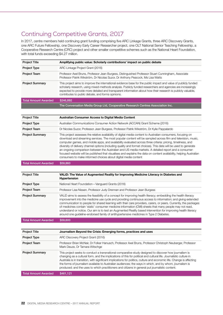# Continuing Competitive Grants, 2017

In 2017, centre members held continuing grant funding comprising five ARC Linkage Grants, three ARC Discovery Grants, one ARC Future Fellowship, one Discovery Early Career Researcher project, one OLT National Senior Teaching Fellowship, a Cooperative Research Centre (CRC) project and other smaller competitive schemes such as the National Heart Foundation, with total funds exceeding \$4.27 million.

| <b>Project Title</b>        | Amplifying public value: Scholarly contributions' impact on public debate                                                                                                                                                                                                                                                                                                                           |
|-----------------------------|-----------------------------------------------------------------------------------------------------------------------------------------------------------------------------------------------------------------------------------------------------------------------------------------------------------------------------------------------------------------------------------------------------|
| Project Type                | ARC Linkage Project Grant (2016)                                                                                                                                                                                                                                                                                                                                                                    |
| <b>Project Team</b>         | Professor Axel Bruns, Professor Jean Burgess, Distinguished Professor Stuart Cunningham, Associate<br>Professor Patrik Wikström, Dr Nicolas Suzor, Dr Anthony Peacock, Ms Lisa Watts                                                                                                                                                                                                                |
| <b>Project Summary</b>      | This project aims to improve the international evidence base for the public impact and value of publicly funded<br>scholarly research, using mixed-methods analysis. Publicly funded researchers and agencies are increasingly<br>expected to provide more detailed and transparent information about how their research is publicly valuable,<br>contributes to public debate, and forms opinions. |
| <b>Total Amount Awarded</b> | \$246,892                                                                                                                                                                                                                                                                                                                                                                                           |
|                             | The Conversation Media Group Ltd, Cooperative Research Centres Association Inc.                                                                                                                                                                                                                                                                                                                     |

| <b>Project Title</b>   | <b>Australian Consumer Access to Digital Media Content</b>                                                                                                                                                                                                                                                                                                                                                                                                                                                                                                                                                                                                                                                                                                        |
|------------------------|-------------------------------------------------------------------------------------------------------------------------------------------------------------------------------------------------------------------------------------------------------------------------------------------------------------------------------------------------------------------------------------------------------------------------------------------------------------------------------------------------------------------------------------------------------------------------------------------------------------------------------------------------------------------------------------------------------------------------------------------------------------------|
| <b>Project Type</b>    | Australian Communications Consumer Action Network (ACCAN) Grant Scheme (2016)                                                                                                                                                                                                                                                                                                                                                                                                                                                                                                                                                                                                                                                                                     |
| <b>Project Team</b>    | Dr Nicolas Suzor, Professor Jean Burgess, Professor Patrik Wikström, Dr Kylie Pappalardo                                                                                                                                                                                                                                                                                                                                                                                                                                                                                                                                                                                                                                                                          |
| <b>Project Summary</b> | This project assesses the relative availability of digital media content to Australian consumers, focusing on<br>download and streaming services. The most popular content will be sampled across film and television, music,<br>computer games, and mobile apps, and availability evaluated across three criteria: pricing, timeliness, and<br>diversity of delivery channel options (including quality and format choices). This data will be used to generate<br>an ongoing comparison between the Australian and US media markets. A detailed report and a consumer-<br>focused website will be published that visualises and explains the data on content availability, helping Australian<br>consumers to make informed choices about digital media content |

Total Amount Awarded \$59,860

| <b>Project Title</b>        | VALID: The Value of Augmented Reality for Improving Medicine Literacy in Diabetes and<br><b>Hypertension</b>                                                                                                                                                                                                                                                                                                                                                                                                                                                                                                                                                             |
|-----------------------------|--------------------------------------------------------------------------------------------------------------------------------------------------------------------------------------------------------------------------------------------------------------------------------------------------------------------------------------------------------------------------------------------------------------------------------------------------------------------------------------------------------------------------------------------------------------------------------------------------------------------------------------------------------------------------|
| Project Type                | National Heart Foundation - Vanguard Grants (2016)                                                                                                                                                                                                                                                                                                                                                                                                                                                                                                                                                                                                                       |
| <b>Project Team</b>         | Professor Lisa Nissen, Professor Judy Drennan and Professor Jean Burgess                                                                                                                                                                                                                                                                                                                                                                                                                                                                                                                                                                                                 |
| <b>Project Summary</b>      | VALID aims to assess the feasibility of a concept for improving health literacy; embedding the health literacy<br>improvement into the medicine use cycle and providing continuous access to information; and giving extended<br>communication to people for shared learning with their care providers, carers, or peers. Currently, the packages<br>of medicines contain 'static' consumer medicine information (CMI) sheets that many people may not read,<br>understand or notice. Our aim is to test an Augmented Reality based intervention for improving health literacy<br>around one guideline-endorsed family of antihypertensive medicines in Type 2 Diabetes. |
| <b>Total Amount Awarded</b> | \$59,600                                                                                                                                                                                                                                                                                                                                                                                                                                                                                                                                                                                                                                                                 |

| <b>Project Title</b>        | Journalism Beyond the Crisis: Emerging forms, practices and uses                                                                                                                                                                                                                                                                                                                                                                                                                                                                                                      |
|-----------------------------|-----------------------------------------------------------------------------------------------------------------------------------------------------------------------------------------------------------------------------------------------------------------------------------------------------------------------------------------------------------------------------------------------------------------------------------------------------------------------------------------------------------------------------------------------------------------------|
| Project Type                | ARC Discovery Project Grant (2016)                                                                                                                                                                                                                                                                                                                                                                                                                                                                                                                                    |
| <b>Project Team</b>         | Professor Brian McNair, Dr Folker Hanusch, Professor Axel Bruns, Professor Christoph Neuberger, Professor<br>Mark Deuze, Dr Tamara Witschge                                                                                                                                                                                                                                                                                                                                                                                                                           |
| <b>Project Summary</b>      | This project seeks to conduct a transnational comparative study designed to discover how journalism is<br>changing as a cultural form, and the implications of this for political and cultural life. Journalistic culture in<br>Australia is in transition, with significant implications for politics, culture and economic life. Change is affecting<br>the forms of journalism available to Australian audiences; the ways in which, and by whom, journalism is<br>produced; and the uses to which practitioners and citizens in general put journalistic content. |
| <b>Total Amount Awarded</b> | \$461.121                                                                                                                                                                                                                                                                                                                                                                                                                                                                                                                                                             |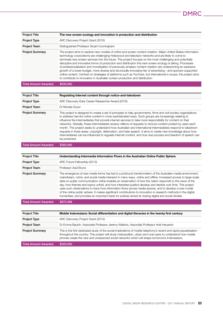| <b>Project Title</b>        | The new screen ecology and innovation in production and distribution                                                                                                                                                                                                                                                                                                                                                                                                                                                                                                                                                                                                                                                                                                                                                                                                                  |
|-----------------------------|---------------------------------------------------------------------------------------------------------------------------------------------------------------------------------------------------------------------------------------------------------------------------------------------------------------------------------------------------------------------------------------------------------------------------------------------------------------------------------------------------------------------------------------------------------------------------------------------------------------------------------------------------------------------------------------------------------------------------------------------------------------------------------------------------------------------------------------------------------------------------------------|
| <b>Project Type</b>         | ARC Discovery Project Grant (2016)                                                                                                                                                                                                                                                                                                                                                                                                                                                                                                                                                                                                                                                                                                                                                                                                                                                    |
| <b>Project Team</b>         | Distinguished Professor Stuart Cunningham                                                                                                                                                                                                                                                                                                                                                                                                                                                                                                                                                                                                                                                                                                                                                                                                                                             |
| <b>Project Summary</b>      | The project aims to explore new models of online and screen content creation. Major United States information<br>technology corporations are challenging Hollywood and television networks and are likely to come to<br>dominate new screen services into the future. This project focuses on the most challenging and potentially<br>disruptive and innovative forms of production and distribution this new screen ecology is taking. Processes<br>of professionalization and monetisation of previously amateur content creation are underpinning an explosive<br>growth of a lower-budget, more diverse and structurally innovative tier of advertising—and sponsor-supported<br>online content. Centred on strategies of platforms such as YouTube, but international in scope, the project aims<br>to contribute to innovation in Australian screen production and distribution |
| <b>Total Amount Awarded</b> | \$535,000                                                                                                                                                                                                                                                                                                                                                                                                                                                                                                                                                                                                                                                                                                                                                                                                                                                                             |

| <b>Project Title</b>        | Regulating Internet content through notice-and-takedown                                                                                                                                                                                                                                                                                                                                                                                                                                                                                                                                                                                                                                                                                                                                                                  |  |
|-----------------------------|--------------------------------------------------------------------------------------------------------------------------------------------------------------------------------------------------------------------------------------------------------------------------------------------------------------------------------------------------------------------------------------------------------------------------------------------------------------------------------------------------------------------------------------------------------------------------------------------------------------------------------------------------------------------------------------------------------------------------------------------------------------------------------------------------------------------------|--|
| Project Type                | ARC Discovery Early Career Researcher Award (2016)                                                                                                                                                                                                                                                                                                                                                                                                                                                                                                                                                                                                                                                                                                                                                                       |  |
| <b>Project Team</b>         | Dr Nicolas Suzor                                                                                                                                                                                                                                                                                                                                                                                                                                                                                                                                                                                                                                                                                                                                                                                                         |  |
| <b>Project Summary</b>      | This project is designed to create a set of principles to help governments, firms and civil society organisations<br>to address harmful online content in more sophisticated ways. Such groups are increasingly seeking to<br>influence the intermediaries that provide internet services to take more responsibility for content on their<br>networks. Globally, these intermediaries receive millions of requests to remove content posted by users each<br>month. This project seeks to understand how Australian and international intermediaries respond to takedown<br>requests in three areas: copyright, defamation, and hate speech. It aims to create new knowledge about how<br>intermediaries can be influenced to regulate internet content, and how due process and freedom of speech can<br>be protected. |  |
| <b>Total Amount Awarded</b> | \$350,000                                                                                                                                                                                                                                                                                                                                                                                                                                                                                                                                                                                                                                                                                                                                                                                                                |  |

| <b>Project Title</b>        | Understanding Intermedia Information Flows in the Australian Online Public Sphere                                                                                                                                                                                                                                                                                                                                                                                                                                                                                                                                                                                                                                                                                                            |
|-----------------------------|----------------------------------------------------------------------------------------------------------------------------------------------------------------------------------------------------------------------------------------------------------------------------------------------------------------------------------------------------------------------------------------------------------------------------------------------------------------------------------------------------------------------------------------------------------------------------------------------------------------------------------------------------------------------------------------------------------------------------------------------------------------------------------------------|
| Project Type                | ARC Future Fellowship (2013)                                                                                                                                                                                                                                                                                                                                                                                                                                                                                                                                                                                                                                                                                                                                                                 |
| <b>Project Team</b>         | Professor Axel Bruns                                                                                                                                                                                                                                                                                                                                                                                                                                                                                                                                                                                                                                                                                                                                                                         |
| <b>Project Summary</b>      | The emergence of new media forms has led to a profound transformation of the Australian media environment;<br>mainstream, niche, and social media intersect in many ways, online and offline. Increased access to large-scale<br>data on public communication online enables an observation of how the nation responds to the news of the<br>day, how themes and topics unfold, and how interested publics develop and decline over time. This project<br>uses such observations to trace how information flows across media spaces, and to develop a new model<br>of the online public sphere. It makes significant contributions to innovation in research methods in the digital<br>humanities, and provides an important basis for policies aimed at closing digital and social divides. |
| <b>Total Amount Awarded</b> | \$870,398                                                                                                                                                                                                                                                                                                                                                                                                                                                                                                                                                                                                                                                                                                                                                                                    |
|                             |                                                                                                                                                                                                                                                                                                                                                                                                                                                                                                                                                                                                                                                                                                                                                                                              |
| <b>Project Title</b>        | Mobile Indonesians: Social differentiation and digital literacies in the twenty first century                                                                                                                                                                                                                                                                                                                                                                                                                                                                                                                                                                                                                                                                                                |
| Project Type                | ARC Discovery Project Grant (2013)                                                                                                                                                                                                                                                                                                                                                                                                                                                                                                                                                                                                                                                                                                                                                           |
|                             |                                                                                                                                                                                                                                                                                                                                                                                                                                                                                                                                                                                                                                                                                                                                                                                              |

| <b>Project Team</b>    | Dr Emma Baulch, Associate Professor Jeremy Watkins, Associate Professor Ariel Heryanto                                                                                                                                                                                                                                              |
|------------------------|-------------------------------------------------------------------------------------------------------------------------------------------------------------------------------------------------------------------------------------------------------------------------------------------------------------------------------------|
| <b>Project Summary</b> | This is the first dedicated study of the social implications of mobile telephony's recent and rapid popularisation<br>throughout the country. This project will study metropolitan, urban and rural users to understand how mobile<br>phones create the new and unexpected social networks which will shape tomorrow's Indonesians. |

Total Amount Awarded \$220,000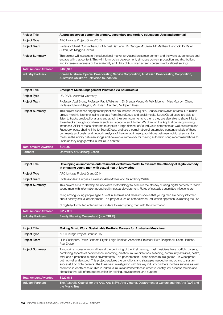| <b>Project Title</b>     | Australian screen content in primary, secondary and tertiary education: Uses and potential                                                                                                                                                                                                                                                        |
|--------------------------|---------------------------------------------------------------------------------------------------------------------------------------------------------------------------------------------------------------------------------------------------------------------------------------------------------------------------------------------------|
| Project Type             | ARC Linkage Project Grant (2013)                                                                                                                                                                                                                                                                                                                  |
| <b>Project Team</b>      | Professor Stuart Cunningham, Dr Michael Dezuanni, Dr Georgie McClean, Mr Matthew Hancock, Dr David<br>Sutton, Ms Maggie Garrard                                                                                                                                                                                                                   |
| <b>Project Summary</b>   | This project will investigate the educational market for Australian screen content and the ways students use and<br>engage with that content. This will inform policy development, stimulate content production and distribution,<br>and increase awareness of the availability and utility of Australian screen content in educational settings. |
| Total Amount Awarded     | \$463,342                                                                                                                                                                                                                                                                                                                                         |
| <b>Industry Partners</b> | Screen Australia, Special Broadcasting Service Corporation, Australian Broadcasting Corporation,<br>Australian Children's Television foundation                                                                                                                                                                                                   |

| <b>Project Type</b><br>UA-DAAD Australia-Germany<br><b>Project Team</b><br>Professor Stefan Stieglitz, Mr Florian Brachten, Mr Bioern Ross<br><b>Project Summary</b> | Professor Axel Bruns, Professor Patrik Wikstrom, Dr Brenda Moon, Mr Felix Muench, Miss May Lyn Chew,                                                                                                                                                                                                                                                                                                                                                                                                                                                                                                                                                                                                                                                                                                                                                                                                    |
|----------------------------------------------------------------------------------------------------------------------------------------------------------------------|---------------------------------------------------------------------------------------------------------------------------------------------------------------------------------------------------------------------------------------------------------------------------------------------------------------------------------------------------------------------------------------------------------------------------------------------------------------------------------------------------------------------------------------------------------------------------------------------------------------------------------------------------------------------------------------------------------------------------------------------------------------------------------------------------------------------------------------------------------------------------------------------------------|
|                                                                                                                                                                      |                                                                                                                                                                                                                                                                                                                                                                                                                                                                                                                                                                                                                                                                                                                                                                                                                                                                                                         |
|                                                                                                                                                                      |                                                                                                                                                                                                                                                                                                                                                                                                                                                                                                                                                                                                                                                                                                                                                                                                                                                                                                         |
| users as they engage with SoundCloud content.                                                                                                                        | This project examines engagement practices around one leading site, SoundCloud (which attracts 175 million<br>unique monthly listeners), using big data from SoundCloud and social media. SoundCloud users are able to<br>listen to tracks provided by artists and attach their own comments to them; they are also able to share links to<br>these tracks through social media such as Facebook and Twitter. We draw on the Application Programming<br>Interfaces (APIs) of these platforms to capture a large dataset of SoundCloud comments as well as tweets and<br>Facebook posts sharing links to SoundCloud, and use a combination of automated content analysis of these<br>comments and posts, and network analysis of the overlap in user populations between individual songs, to<br>measure the affinity between songs and develop a framework for making automatic song recommendations to |

| Total amount Awarded | \$24.990                     |
|----------------------|------------------------------|
| Partners             | University of Duisberg-Essen |

| <b>Project Title</b>        | Developing an innovative entertainment-evaluation model to evaluate the efficacy of digital comedy<br>in engaging young men with sexual health knowledge                                                                                                                                                                                                                                                                                                                                                                                            |
|-----------------------------|-----------------------------------------------------------------------------------------------------------------------------------------------------------------------------------------------------------------------------------------------------------------------------------------------------------------------------------------------------------------------------------------------------------------------------------------------------------------------------------------------------------------------------------------------------|
| <b>Project Type</b>         | ARC Linkage Project Grant (2014)                                                                                                                                                                                                                                                                                                                                                                                                                                                                                                                    |
| <b>Project Team</b>         | Professor Jean Burgess, Professor Alan McKee and Mr Anthony Walsh                                                                                                                                                                                                                                                                                                                                                                                                                                                                                   |
| <b>Project Summary</b>      | This project aims to develop an innovative methodology to evaluate the efficacy of using digital comedy to reach<br>young men with information about healthy sexual development. Rates of sexually transmitted infections are<br>rising among young people aged 16–29 in Australia and research shows that young men are poorly informed<br>about healthy sexual development. This project takes an entertainment-education approach, evaluating the use<br>of digitally-distributed entertainment videos to reach young men with this information. |
| <b>Total Amount Awarded</b> | \$117.309                                                                                                                                                                                                                                                                                                                                                                                                                                                                                                                                           |
| <b>Industry Partners</b>    | <b>Family Planning Queensland (now TRUE)</b>                                                                                                                                                                                                                                                                                                                                                                                                                                                                                                        |

| <b>Project Title</b>        | <b>Making Music Work: Sustainable Portfolio Careers for Australian Musicians</b>                                                                                                                                                                                                                                                                                                                                                                                                                                                                                                                                                                                                                                                                                                          |
|-----------------------------|-------------------------------------------------------------------------------------------------------------------------------------------------------------------------------------------------------------------------------------------------------------------------------------------------------------------------------------------------------------------------------------------------------------------------------------------------------------------------------------------------------------------------------------------------------------------------------------------------------------------------------------------------------------------------------------------------------------------------------------------------------------------------------------------|
| <b>Project Type</b>         | ARC Linkage Project Grant (2015)                                                                                                                                                                                                                                                                                                                                                                                                                                                                                                                                                                                                                                                                                                                                                          |
| <b>Project Team</b>         | Huib Schippers, Dawn Bennett, Brydie-Leigh Bartleet, Associate Professor Ruth Bridgstock, Scott Harrison,<br>Paul Draper                                                                                                                                                                                                                                                                                                                                                                                                                                                                                                                                                                                                                                                                  |
| <b>Project Summary</b>      | To sustain successful musical lives at the beginning of the 21st century, most musicians have portfolio careers,<br>combining aspects of performance, recording, creation, music directions, teaching, community activities, health,<br>retail and a presence in online environments. This phenomenon—often across music genres—is widespread<br>but not well understood. This project explores the conditions and strategies needed for musicians to sustain<br>successful portfolio careers. The three-year investigation with five key industry partners involves surveys as well<br>as twelve in-depth case studies in individual musicians/ensembles in order to identify key success factors and<br>obstacles that will inform opportunities for training, development, and support |
| <b>Total Amount Awarded</b> | \$222,515                                                                                                                                                                                                                                                                                                                                                                                                                                                                                                                                                                                                                                                                                                                                                                                 |
| <b>Industry Partners</b>    | The Australia Council for the Arts, Arts NSW, Arts Victoria, Department of Culture and the Arts (WA) and<br>the Music Trust                                                                                                                                                                                                                                                                                                                                                                                                                                                                                                                                                                                                                                                               |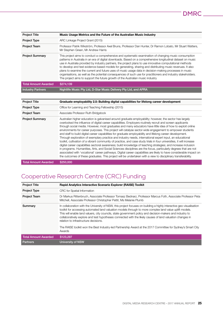| <b>Project Title</b>        | Music Usage Metrics and the Future of the Australian Music Industry                                                                                                                                                                                                                                                                                                                                                                                                                                                                                                                                                                                                                                                                                           |
|-----------------------------|---------------------------------------------------------------------------------------------------------------------------------------------------------------------------------------------------------------------------------------------------------------------------------------------------------------------------------------------------------------------------------------------------------------------------------------------------------------------------------------------------------------------------------------------------------------------------------------------------------------------------------------------------------------------------------------------------------------------------------------------------------------|
| Project Type                | ARC Linkage Project Grant (2015)                                                                                                                                                                                                                                                                                                                                                                                                                                                                                                                                                                                                                                                                                                                              |
| <b>Project Team</b>         | Professor Patrik Wikström, Professor Axel Bruns, Professor Dan Hunter, Dr Ramon Lobato, Mr Stuart Watters,<br>Mr Stephen Green, Mr Andrew Harris                                                                                                                                                                                                                                                                                                                                                                                                                                                                                                                                                                                                              |
| <b>Project Summary</b>      | This project aims to conduct a comprehensive and systematic examination of changing music consumption<br>patterns in Australia in an era of digital downloads. Based on a comprehensive longitudinal dataset on music<br>use in Australia provided by industry partners, the project plans to use innovative computational methods<br>to develop and test evidence-based models for generating, sharing and distributing music revenues. It also<br>plans to examine the current and future uses of music usage data in decision-making processes in music<br>organisations, as well as the potential consequences of such use for practitioners and industry stakeholders.<br>The project aims to support the future growth of the Australian music industry |
| <b>Total Amount Awarded</b> | \$274.139                                                                                                                                                                                                                                                                                                                                                                                                                                                                                                                                                                                                                                                                                                                                                     |
| <b>Industry Partners</b>    | Nightlife Music Pty Ltd, D-Star Music Delivery Pty Ltd, and APRA                                                                                                                                                                                                                                                                                                                                                                                                                                                                                                                                                                                                                                                                                              |

| <b>Project Title</b>        | Graduate employability 2.0: Building digital capabilities for lifelong career development                                                                                                                                                                                                                                                                                                                                                                                                                                                                                                                                                                                                                                                                                                                                                                                                                                                                                                                                                                                                                                                                                                                                                                                       |
|-----------------------------|---------------------------------------------------------------------------------------------------------------------------------------------------------------------------------------------------------------------------------------------------------------------------------------------------------------------------------------------------------------------------------------------------------------------------------------------------------------------------------------------------------------------------------------------------------------------------------------------------------------------------------------------------------------------------------------------------------------------------------------------------------------------------------------------------------------------------------------------------------------------------------------------------------------------------------------------------------------------------------------------------------------------------------------------------------------------------------------------------------------------------------------------------------------------------------------------------------------------------------------------------------------------------------|
| <b>Project Type</b>         | Office for Learning and Teaching Fellowship (2015)                                                                                                                                                                                                                                                                                                                                                                                                                                                                                                                                                                                                                                                                                                                                                                                                                                                                                                                                                                                                                                                                                                                                                                                                                              |
| <b>Project Team</b>         | Associate Professor Ruth Bridgstock                                                                                                                                                                                                                                                                                                                                                                                                                                                                                                                                                                                                                                                                                                                                                                                                                                                                                                                                                                                                                                                                                                                                                                                                                                             |
| <b>Project Summary</b>      | Australian higher education is galvanised around graduate employability; however, the sector has largely<br>overlooked the influence of digital career capabilities. Employers routinely recruit and screen applicants<br>through social media. However, most graduates and many educators have little idea of how to exploit online<br>environments for career purposes. This project will catalyse sector-wide engagement to empower students<br>and staff to build digital career capabilities for graduate employability and lifelong career development.<br>Through exploration of exemplary practice and industry needs, international expert input, an educational<br>toolkit, cultivation of a vibrant community of practice, and case study trials in four universities, it will increase<br>digital career capabilities sectoral awareness; build knowledge of teaching strategies; and increase inclusion<br>in programs. Humanities, Arts, and Social Sciences disciplines are the focus, particularly degrees that are not<br>associated with 'vocational' career pathways. Digital career capabilities are likely to have considerable impact on<br>the outcomes of these graduates. This project will be undertaken with a view to disciplinary transferability. |
| <b>Total Amount Awarded</b> | \$250,000                                                                                                                                                                                                                                                                                                                                                                                                                                                                                                                                                                                                                                                                                                                                                                                                                                                                                                                                                                                                                                                                                                                                                                                                                                                                       |

# Cooperative Research Centre (CRC) Funding

| <b>Project Title</b>        | <b>Rapid Analytics Interactive Scenario Explorer (RAISE) Toolkit</b>                                                                                                                                                                                                                                                                                                                                                                                                                               |
|-----------------------------|----------------------------------------------------------------------------------------------------------------------------------------------------------------------------------------------------------------------------------------------------------------------------------------------------------------------------------------------------------------------------------------------------------------------------------------------------------------------------------------------------|
| <b>Project Type</b>         | <b>CRC</b> for Spatial Information                                                                                                                                                                                                                                                                                                                                                                                                                                                                 |
| <b>Project Team</b>         | Dr Markus Rittenbruch, Associate Professor Tomasz Bednarz, Professor Marcus Foth, Associate Professor Peta<br>Mitchell, Associate Professor Christopher Pettit, Ms Melanie Plumb                                                                                                                                                                                                                                                                                                                   |
| Summary                     | In collaboration with the University of NSW, this project focuses on building a highly interactive geo-visualisation<br>toolkit for accessing automated land valuation models through to more complex land value uplift models.<br>This will enable land valuers, city councils, state government policy and decision-makers and industry to<br>collaboratively explore and test hypotheses connected with the likely causes of land valuation changes in<br>relation to infrastructure decisions. |
|                             | The RAISE toolkit won the Best Industry-led Partnership Award at the 2017 Committee for Sydney's Smart City<br>Awards                                                                                                                                                                                                                                                                                                                                                                              |
| <b>Total Amount Awarded</b> | \$123,297                                                                                                                                                                                                                                                                                                                                                                                                                                                                                          |
| <b>Partners</b>             | <b>University of NSW</b>                                                                                                                                                                                                                                                                                                                                                                                                                                                                           |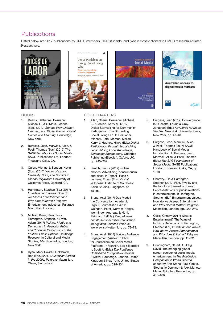# Publications

Listed below are 2017 publications by DMRC members, HDR students, and (where closely aligned to DMRC research) Affiliated Researchers.

![](_page_27_Picture_2.jpeg)

![](_page_27_Picture_3.jpeg)

# **Social Media**

![](_page_27_Picture_5.jpeg)

### **BOOKS**

- 1. Beavis, Catherine, Dezuanni, Michael L., & O'Mara, Joanne (Eds.) (2017) *Serious Play: Literacy, Learning, and Digital Games. Digital Games and Learning*. Routledge, New York.
- 2. Burgess, Jean, Marwick, Alice, & Poell, Thomas (Eds.) (2017) *The SAGE Handbook of Social Media.* SAGE Publications Ltd, London; Thousand Oaks, CA.
- 3. Curtin, Michael & Sanson, Kevin (Eds.) (2017) *Voices of Labor: Creativity, Craft, and Conflict in Global Hollywood.* University of California Press, Oakland, CA.
- 4. Harrington, Stephen (Ed.) (2017) *Entertainment Values: How do we Assess Entertainment and Why does it Matter?* Palgrave Entertainment Industries. Palgrave Macmillan, London.
- 5. McNair, Brian, Flew, Terry, Harrington, Stephen, & Swift, Adam (2017) *Politics, Media and Democracy in Australia: Public and Producer Perceptions of the Political Public Sphere.* Routledge Research in Cultural and Media Studies, 104. Routledge, London; New York.
- 6. Ryan, Mark David & Goldsmith, Ben (Eds.) (2017) *Australian Screen in the 2000s.* Palgrave Macmillan, Cham, Switzerland.

### **BOOK CHAPTERS**

- 1. Allan, Cherie, Dezuanni, Michael L., & Mallan, Kerry M. (2017) Digital Storytelling for Community Participation: The Storyelling Social Living Lab. In Dezuanni, Michael, Foth, Marcus, Mallan, Kerry, & Hughes, Hilary (Eds.) *Digital Participation through Social Living Labs: Valuing Local Knowledge, Enhancing Engagement.* Chandos Publishing (Elsevier), Oxford, UK, pp. 245–262.
- 2. Baulch, Emma (2017) mobile phones: Advertising, consumerism and class. In Tapsell, Ross & Jurriens, Edwin (Eds.) *Digital Indonesia*. Institute of Southeast Asian Studies, Singapore, pp 38–55.
- 3. Bruns, Axel (2017) Das Modell the Conversation: Academic Rigour, Journalistic Flair. In Weingart, Peter, Wormer, Holger, Wenninger, Andreas, & Hüttl, Reinhard F. (Eds.) *Perspektiven der Wissenschaftskommunikation im digitalen Zeitalter.* Velbrück, Weilerswist-Metternich, pp. 78–79.
- 4. Bruns, Axel (2017) Making Audience Engagement Visible: Publics for Journalism on Social Media Platforms. In Franklin, Bob & Eldridge II, Scott A. (Eds.) *The Routledge Companion to Digital Journalism Studies.* Routledge, London, United Kingdom & New York, United States of America, pp. 325–334.
- 5. Burgess, Jean (2017) Convergence. In Ouellette, Laurie & Gray, Jonathan (Eds.) *Keywords for Media Studies.* New York University Press, New York, pp. 47–48.
- 6. Burgess, Jean, Marwick, Alice, & Poell, Thomas (2017) SAGE Handbook of Social Media: Introduction. In Burgess, Jean, Marwick, Alice, & Poell, Thomas (Eds.) *The SAGE Handbook of Social Media.* SAGE Publications, London; Thousand Oaks, CA; pp.  $1 - 10$ .
- 7. Chorazy, Ella & Harrington, Stephen (2017) Fluff, frivolity and the fabulous Samantha Jones: Representations of public relations in entertainment. In Harrington, Stephen (Ed.) Entertainment Values: How do we Assess Entertainment and Why does it Matter? Palgrave Macmillan, London, pp. 229–249.
- 8. Collis, Christy (2017) What Is Entertainment? The Value of Industry Definitions. In Harrington, Stephen (Ed.) *Entertainment Values: How do we Assess Entertainment and Why does it Matter?* Palgrave Macmillan, London, pp. 11–22.
- 9. Cunningham, Stuart D. Craig, David, The emerging global screen ecology of social media entertainment, in *The Routledge Companion to World Cinema,* edited by Rob Stone, Paul Cooke, Stephanie Dennison & Alex Marlow-Mann. Abington: Routledge, pp. 455–466.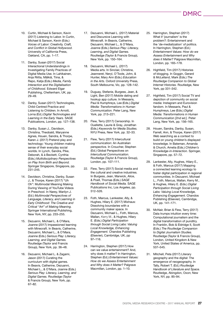- 10. Curtin, Michael & Sanson, Kevin (2017) Listening to Labor. In Curtin, Michael & Sanson, Kevin (Eds.) *Voices of Labor: Creativity, Craft, and Conflict in Global Hollywood.* University of California Press, Oakland, CA, pp. 1–17.
- 11. Danby, Susan (2017) Social Interactional Understandings in Investigating Family Practices of Digital Media Use. In Lahikainen, Anja Riitta, Mälkiä, Tiina, & Repo, Katja (Eds.) *Media, Family Interaction and the Digitalisation of Childhood.* Edward Elgar Publishing, Cheltenham, UK, pp. 29–49.
- 12. Danby, Susan (2017) Technologies, Child-Centred Practice and Listening to Children. In Arnott, Lorna (Ed.) *Digital Technologies and Learning in the Early Years.* SAGE Publications, London, pp. 127–138.
- 13. Danby, Susan J., Davidson, Christina, Theobald, Maryanne Agnes, Houen, Sandra, & Thorpe, Karen J. (2017) Pretend play and technology: Young children making sense of their everyday social worlds. In Lynch, Sandra, Pike, Deborah, & à Beckett, Cynthia (Eds.) *Multidisciplinary Perspectives on Play from Birth and Beyond.*  Springer Singapore, Singapore, pp. 231–245.
- 14. Davidson, Christina, Danby, Susan J., & Thorpe, Karen (2017) "Uh Oh": Multimodal Meaning Making During Viewing of YouTube Videos in Preschool. In Narey, Marilyn J. (Ed.) *Multimodal Perspectives of Language, Literacy, and Learning in Early Childhood: The Creative and Critical "Art" of Making Meaning.* Springer International Publishing, New York, NY, pp. 233–255.
- 15. Dezuanni, Michael L. & O'Mara, Joanne (2017) Impassioned learning with Minecraft. In Beavis, Catherine, Dezuanni, Michael L., & O'Mara, Joanne (Eds.) *Serious Play: Literacy, Learning, and Digital Games.* Routledge (Taylor and Francis Group), New York, pp. 36–48.
- 16. Dezuanni, Michael L. & Zagami, Jason (2017) Curating the curriculum with digital games. In Beavis, Catherine, Dezuanni, Michael L., & O'Mara, Joanne (Eds.) *Serious Play: Literacy, Learning, and Digital Games.* Routledge (Taylor & Francis Group), New York, pp. 67–82.
- 17. Dezuanni, Michael L. (2017) Material and Discursive Learning with Minecraft. In Beavis, Catherine, Dezuanni, Michael L., & O'Mara, Joanne (Eds.) *Serious Play: Literacy, Learning, and Digital Games.*  Routledge (Taylor & Francis Group), New York, pp. 150–164.
- 18. Dezuanni, Michael L. (2017) Media arts. In Sinclair, Christine, Jeanneret, Neryl, O'Toole, John, & Hunter, Mary Ann (Eds.) *Education in the Arts.* Oxford University Press, South Melbourne, Vic, pp. 128–142.
- 19. Duguay, Stefanie, Burgess, Jean, & Light, Ben (2017) Mobile dating and hookup app culture. In Messaris, Paul & Humphreys, Lee (Eds.) *Digital Media: Transformations in Human Communication.* Peter Lang, New York, pp. 213–221.
- 20. Flew, Terry (2017) Censorship. In Ouellette, Laurie & Gray, Jonathan (Eds.) *Keywords for Media Studies.*  NYU Press, New York, pp. 32–33.
- 21. Flew, Terry (2017) Intercultural communication: An Australian perspective. In Croucher, Stephen (Ed.) Global Perspectives on *Intercultural Communication.* Routledge (Taylor & Francis Group), London, pp. 107–111.
- 22. Flew, Terry (2017) Social media and the cultural and creative industries. In Burgess, Jean, Marwick, Alice, & Poell, Thomas (Eds.) *SAGE Handbook of Social Media.* SAGE Publications Inc, Los Angeles, pp. 512–526.
- 23. Foth, Marcus, Lankester, Ally, & Hughes, Hilary E. (2017) Mixhaus: Dissolving boundaries with a community maker space. In Dezuanni, Michael L., Foth, Marcus, Mallan, Kerry M., & Hughes, Hilary E. (Eds.) *Digital Participation through Social Living Labs: Valuing Local Knowledge, Enhancing Engagement.* Chandos Publishing (Elsevier), Cambridge, UK, pp 97–116.
- 24. Harrington, Stephen (2017) How can we value entertainment? And, why does it matter? In Harrington, Stephen (Ed.) *Entertainment Values: How do we Assess Entertainment and Why does it Matter?* Palgrave Macmillan, London, pp. 1–10.
- 25. Harrington, Stephen (2017) What if 'journalism' is the problem?: Entertainment and the 'de-mediatization' of politics. In Harrington, Stephen (Ed.) *Entertainment Values: How do we Assess Entertainment and Why does it Matter?* Palgrave Macmillan, London, pp. 165–178.
- 26. Highfield, Tim (2017) Histories of blogging. In Goggin, Gerard & McLelland, Mark (Eds.) *The Routledge Companion to Global Internet Histories.* Routledge, New York, pp 331–342.
- 27. Highfield, Tim (2017) Social TV and depiction of community on social media: Instagram and Eurovision fandom. In Messaris, Paul & Humphreys, Lee (Eds.) *Digital Media: Transformations in Human Communication [2nd ed.].* Peter Lang, New York, pp. 156–165.
- 28. Houen, Sandra, Danby, Susan, Farrell, Ann, & Thorpe, Karen (2017) Web searching as a context to build on young children's displayed knowledge. In Bateman, Amanda & Church, Amelia (Eds.) *Children's Knowledge-in-Interaction.* Springer, Singapore, pp. 57–72.
- 29. Lankester, Ally, Hughes, Hilary E., & Foth, Marcus (2017) Mapping a connected learning ecology to foster digital participation in regional communities. In Dezuanni, Michael L., Foth, Marcus, Mallan, Kerry M., & Hughes, Hilary E. (Eds.) *Digital Participation through Social Living Labs: Valuing Local Knowledge, Enhancing Engagement.* Chandos Publishing (Elsevier), Cambridge, UK, pp. 141–171.
- 30. McNair, Brian & Flew, Terry (2017) Data trumps intuition every time: Computational journalism and the digital transformation of punditry. In Franklin, Bob & Eldridge II, Scott (Eds.) *The Routledge Companion to Digital Journalism Studies.* Routledge (Taylor & Francis Group), London, United Kingdom & New York, United States of America, pp. 537–545.
- 31. Mitchell, Peta (2017) Literary geography and the digital: The emergence of neogeography. In Tally, Robert T. (Ed.) *Routledge Handbook of Literature and Space.* Routledge, Abingdon, Oxon; New York, NY, pp. 85–94.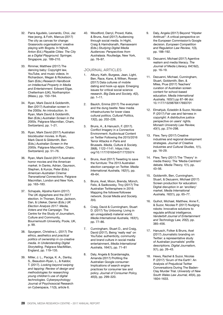- 32. Parra Agudelo, Leonardo, Choi, Jaz Hee-jeong, & Foth, Marcus (2017) The city as canvas for change: Grassroots organisations' creative playing with Bogota. In Nijholt, Anton (Ed.) *Playable Cities: The City as a Digital Playground.* Springer, Singapore, pp. 189–210.
- 33. Rimmer, Matthew (2017) The dancing baby: Copyright law, YouTube, and music videos. In Richardson, Megan & Ricketson, Sam (Eds.) *Research Handbook on Intellectual Property in Media and Entertainment.* Edward Elgar, Cheltenham (UK), Northampton (Mass.), pp. 150–194.
- 34. Ryan, Mark David & Goldsmith, Ben (2017) Australian screen in the 2000s: An introduction. In Ryan, Mark David & Goldsmith, Ben (Eds.) *Australian Screen in the 2000s.* Palgrave Macmillan, Cham, Switzerland, pp. 1–21.
- 35. Ryan, Mark David (2017) Australian blockbuster movies. In Ryan, Mark David & Gildsmith, Ben (Eds.) *Australian Screen in the 2000s.* Palgrave Macmillan, Cham, Switzerland, pp. 51–76.
- 36. Ryan, Mark David (2017) Australian horror movies and the American market. In Danks, Adrian, Gaunson, Stephen, & Kunze, Peter (Eds.) *American-Australian Cinema: Transnational Connections.* Palgrave Macmillan, London and New York, pp. 163–183.
- 37. Schapals, Aljosha Karim (2017) The UK digisphere and the 2017 election. In Thorsen, Einar, Jackson, Dan, & Lilleker, Darren (Eds.) *UK Election Analysis 2017: Media, Voters and the Campaign.* The Centre for the Study of Journalism, Culture and Community, Bournemouth University, Poole, UK, p. 99.
- 38. Spurgeon, Christina L. (2017) *The ethics, aesthetics and practical politics of ownership in co-creative media. In Understanding Digital Storytelling.* Palgrave MacMillan, England, pp. 119–135.
- 39. Miller, J. L., Paciga, K. A., Danby, S., Beaudoin-Ryan, L., & Kaldor, T. (2017). *Looking beyond swiping and tapping: Review of design and methodologies for researching young children's use of digital technologies.* Cyberpsychology: Journal of Psychosocial Research on Cyberspace, 11(3), article 6.

40. Woodford, Darryl, Prowd, Katie, & Bruns, Axel (2017) Audiencing through social media. In Hight, Craig & Harindranath, Ramaswami (Eds.) *Studying Digital Media Audiences: Perspectives from Australasia.* Routledge, New York, pp. 76–97.

### **JOURNAL ARTICLES**

- 1. Albury, Kath, Burgess, Jean, Light, Ben, Race, Kane, & Wilken, Rowan (2017) Data cultures of mobile dating and hook-up apps: Emerging issues for critical social science research. *Big Data and Society, 4*(2), pp. 1–11.
- 2. Baulch, Emma (2017) The everyman and the dung beetle: New media infrastructures for lower class cultural politics. *Cultural Politics, 13*(2), pp. 202–226.
- 3. Bruns, A., & Hanusch, F. (2017). Conflict Imagery in a Connective Environment: Audiovisual Content on Twitter Following the 2015/2016 Terror Attacks in Paris and Brussels. *Media, Culture & Society, 39*(8), 1122–1141. https://doi. org/10.1177/0163443717725574
- Bruns, Axel (2017) Tweeting to save the furniture: The 2013 Australian election campaign on Twitter. *Media International Australia, 162*(1), pp. 49–64.
- 5. Bruns, Axel, Moon, Brenda, Münch, Felix, & Sadkowsky, Troy (2017) The Australian Twittersphere in 2016: Mapping the follower/followee network. *Social Media and Society, 3*(4).
- 6. Craig, David & Cunningham, Stuart D. (2017) Toy Unboxing: Living in a(n unregulated) material world. *Media International Australia, 163*(1), pp. 77–86.
- 7. Cunningham, Stuart D., and Craig, David (2017), Being 'really real' on YouTube: authenticity, community and brand culture in social media entertainment, *Media International Australia, 164*(1), pp. 71–81
- 8. Daly, Angela & Scardamaglia, Amanda (2017) Profiling the Australian Google consumer: Implications of search engine practices for consumer law and policy. *Journal of Consumer Policy, 40*(3), pp. 299–320.
- 9. Daly, Angela (2017) Beyond "Hipster Antitrust": A critical perspective on the European Commission's Google decision. *European Competition and Regulation Law Review, 1*(3), pp. 188–192.
- 10. Dezuanni, Michael (2017) Agentive realism and media literacy. *The Journal of Media Literacy, 64*(1&2), pp. 16–19.
- 11. Dezuanni, Michael, Cunningham, Stuart, Goldsmith, Ben, & Miles, Prue (2017) Teachers' curation of Australian screen content for school-based education. *Media International Australia, 163*(1) pp 87–96 doi: 10.1177/1329878X17693701
- 12. Elmahjub, Ezieddin & Suzor, Nicolas P. (2017) Fair use and fairness in copyright: A distributive justice perspective on users' rights. *Monash University Law Review, 43*(1), pp. 274–298.
- 13. Flew, Terry (2017) Creative industries and regional development strategies. *Journal of Creative Industries and Cultural Studies, 1*(1), pp. 16–29.
- 14. Flew, Terry (2017) The 'Theory' in media theory: The 'Media-Centrism' debate. *Media Theory, 1*(1), pp. 43–56.
- 15. Goldsmith, Ben, Cunningham, Stuart, & Dezuanni, Michael (2017) Screen production for education: Digital disruption in an 'ancillary' market. *Media International Australia, 162*(1), pp. 65–77.
- 16. Guihot, Michael, Matthew, Anne F., & Suzor, Nicolas P. (2017) Nudging robots: Innovative solutions to regulate artificial intelligence. *Vanderbilt Journal of Entertainment and Technology Law, 20*(2), pp. 385–456.
- 17. Hanusch, Folker & Bruns, Axel (2017) Journalistic branding on Twitter: a representative study of Australian journalists' profile descriptions. *Digital Journalism, 5*(1), pp. 26–43.
- 18. Hews, Rachel & Suzor, Nicolas P. (2017) 'Scum of the Earth': An Analysis of Prejudicial Twitter Conversations During The Baden-Clay Murder Trial. *University of New South Wales Law Journal, 40*(4), pp. 1604–1633.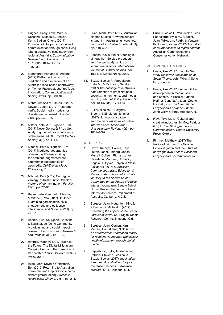- 19. Hughes, Hilary, Foth, Marcus, Dezuanni, Michael L., Mallan, Kerry, & Allan, Cherie (2017) Fostering digital participation and communication through social living labs: a qualitative case study from regional Australia. *Communication Research and Practice.* doi: 10.1080/22041451.2017. 1287032
- 20. Matamoros-Fernandez, Ariadna (2017) Platformed racism: The mediation and circulation of an Australian race-based controversy on Twitter, Facebook and YouTube. Information, *Communication and Society, 20*(6), pp. 930–946.
- 21. Mehta, Amisha M., Bruns, Axel, & Newton, Judith (2017) Trust, but verify: Social media models for disaster management. *Disasters, 41*(3), pp. 549–565.
- 22. Miltner, Kate M. & Highfield, Tim (2017) Never Gonna GIF You Up: Analyzing the cultural significance of the animated GIF. *Social Media + Society, 3*(3), pp-1–11.
- 23. Mitchell, Peta & Highfield, Tim (2017) Mediated geographies of everyday life—navigating the ambient, augmented and algorithmic geographies of geomedia. *Ctrl-Z: New Media Philosophy,* 7.
- 24. Mitchell, Peta (2017) Contagion, virology, autoimmunity: Derrida's rhetoric of contamination. *Parallax, 23*(1), pp. 77–93.
- 25. Rehm, Sebastian, Foth, Marcus, & Mitchell, Peta (2017) DoGood: Examining gamification, civic engagement, and collective intelligence. *AI & Society, 33*(1), pp. 27–37
- 26. Rennie, Ellie, Spurgeon, Christina, & Barraket, Jo (2017) Community broadcasting and social impact research. *Communication Research and Practice, 3*(1), pp. 1–13.
- 27. Rimmer, Matthew (2017) Back to the Future: The Digital Millennium Copyright Act and the Trans-Pacific Partnership. *Laws, 6*(3) doi:10.3390/ laws6030011
- 28. Ryan, Mark David & Goldsmith, Ben (2017) Returning to Australian horror film and Ozploitation cinema debate [Introduction]. *Studies in Australasian Cinema, 11*(1), pp. 2–4.
- 29. Ryan, Mark David (2017) Australian cinema studies: How the subject is taught in Australian universities. *Journal of Australian Studies, 41*(4), pp. 518–535.
- 30. Sanson, Kevin (2017) Stitching it all together: Service producers and the spatial dynamics of screen media labor. *International Journal of Cultural Studies.* doi: 10.1177/1367877917692900
- 31. Suzor, Nicolas P., Pappalardo, Kylie M., & McIntosh, Natalie (2017) The passage of Australia's data retention regime: National security, human rights, and media scrutiny. *Internet Policy Review, 6*(1) doi: 10.14763/2017.1.454
- 32. Suzor, Nicolas P., Seignior, Bryony, & Singleton, Jennifer (2017) Non-consensual porn and the responsibilities of online intermediaries. *Melbourne University Law Review, 40*(3), pp. 1057–1097.

### **REPORTS**

- 1. Bowd, Kathryn, Davies, Kayt, Fulton, Janet, Lidberg, Johan, Murrell, Colleen, Richards, Ian, Ricketson, Matthew, Romano, Angela R., Sykes, Jolyon, & Wake, Alexandra (2017) *Submission from the Journalism Education & Research Association of Australia (JERAA) to the Senate Select Committee on the Future of Public Interest Journalism*. Senate Select Committee on the Future of Public Interest Journalism. Parliament of Australia, Canberra, A.C.T.
- 2. Burgess, Jean, Houghton, Kirralie, & Dezuanni, Michael L. (2017) *Evaluating the impact of the First 5 Forever initiative.* QUT Digital Media Research Centre, Brisbane, Qld.
- 3. Burgess, Jean, Osman, Kim, McKee, Alan, & Hall, Nicki (2017) *An entertainment-education model for reaching young men with sexual health information through digital media.*
- 4. Pappalardo, Kylie, Aufderheide, Patricia, Stevens, Jessica, & Suzor, Nicolas (2017) *Imagination foregone: A qualitative study of the reuse practices of Australian creators.* QUT, Brisbane, QLD

5. Suzor, Nicolas P., Van Geelen, Tess, Pappalardo, Kylie M., Burgess, Jean, Wikström, Patrik, & Ventura-Rodriguez, Yanery (2017) *Australian consumer access to digital content.* Australian Communications Consumer Action Network.

### **REFERENCE ENTRIES**

- 1. Bruns, Axel (2017) Blog. In *The Wiley Blackwell Encyclopedia of Social Theory.* John Wiley & Sons, Inc., London.
- 2. Bruns, Axel (2017) Future: Global development in media uses and effects. In Rössler, Patrick, Hoffner, Cynthia A., & van Zoonen, Liesbet (Eds.) *The International Encyclopedia of Media Effects.* John Wiley & Sons, Hoboken, NJ.
- 3. Flew, Terry (2017) Cultural and creative industries. In Moy, Patricia (Ed.) *Oxford Bibliographies in Communication.* Oxford University Press, Oxford.
- 4. Rimmer, Matthew (2017) The foxfire of fair use: The Google Books litigation and the future of copyright laws. *Oxford Research Encyclopedia of Communication.*